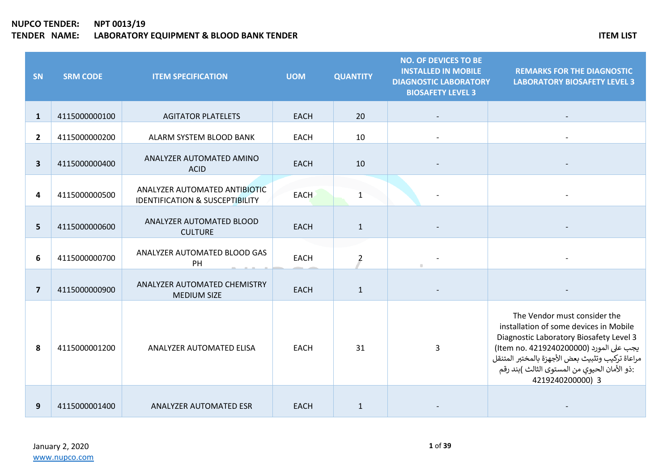| SN                      | <b>SRM CODE</b> | <b>ITEM SPECIFICATION</b>                                                   | <b>UOM</b>  | <b>QUANTITY</b> | <b>NO. OF DEVICES TO BE</b><br><b>INSTALLED IN MOBILE</b><br><b>DIAGNOSTIC LABORATORY</b><br><b>BIOSAFETY LEVEL 3</b> | <b>REMARKS FOR THE DIAGNOSTIC</b><br><b>LABORATORY BIOSAFETY LEVEL 3</b>                                                                                                                                                                                                             |
|-------------------------|-----------------|-----------------------------------------------------------------------------|-------------|-----------------|-----------------------------------------------------------------------------------------------------------------------|--------------------------------------------------------------------------------------------------------------------------------------------------------------------------------------------------------------------------------------------------------------------------------------|
| $\mathbf{1}$            | 4115000000100   | <b>AGITATOR PLATELETS</b>                                                   | <b>EACH</b> | 20              |                                                                                                                       |                                                                                                                                                                                                                                                                                      |
| $\overline{2}$          | 4115000000200   | ALARM SYSTEM BLOOD BANK                                                     | <b>EACH</b> | 10              |                                                                                                                       |                                                                                                                                                                                                                                                                                      |
| $\overline{\mathbf{3}}$ | 4115000000400   | ANALYZER AUTOMATED AMINO<br><b>ACID</b>                                     | <b>EACH</b> | 10              |                                                                                                                       |                                                                                                                                                                                                                                                                                      |
| 4                       | 4115000000500   | ANALYZER AUTOMATED ANTIBIOTIC<br><b>IDENTIFICATION &amp; SUSCEPTIBILITY</b> | <b>EACH</b> | $\mathbf{1}$    |                                                                                                                       |                                                                                                                                                                                                                                                                                      |
| 5                       | 4115000000600   | ANALYZER AUTOMATED BLOOD<br><b>CULTURE</b>                                  | <b>EACH</b> | $\mathbf{1}$    |                                                                                                                       |                                                                                                                                                                                                                                                                                      |
| 6                       | 4115000000700   | ANALYZER AUTOMATED BLOOD GAS<br>PH                                          | <b>EACH</b> | $\overline{2}$  |                                                                                                                       |                                                                                                                                                                                                                                                                                      |
| $\overline{7}$          | 4115000000900   | ANALYZER AUTOMATED CHEMISTRY<br><b>MEDIUM SIZE</b>                          | <b>EACH</b> | $\mathbf{1}$    |                                                                                                                       |                                                                                                                                                                                                                                                                                      |
| 8                       | 4115000001200   | ANALYZER AUTOMATED ELISA                                                    | <b>EACH</b> | 31              | 3                                                                                                                     | The Vendor must consider the<br>installation of some devices in Mobile<br>Diagnostic Laboratory Biosafety Level 3<br>يجب على المورد (Item no. 4219240200000)<br>مراعاة تركيب وتثبيث بعض الأجهزة بالمختبر المتنقل<br>:ذو الأمان الحيوي من المستوى الثالث )بند رقم<br>4219240200000) 3 |
| 9                       | 4115000001400   | ANALYZER AUTOMATED ESR                                                      | <b>EACH</b> | $\mathbf{1}$    |                                                                                                                       |                                                                                                                                                                                                                                                                                      |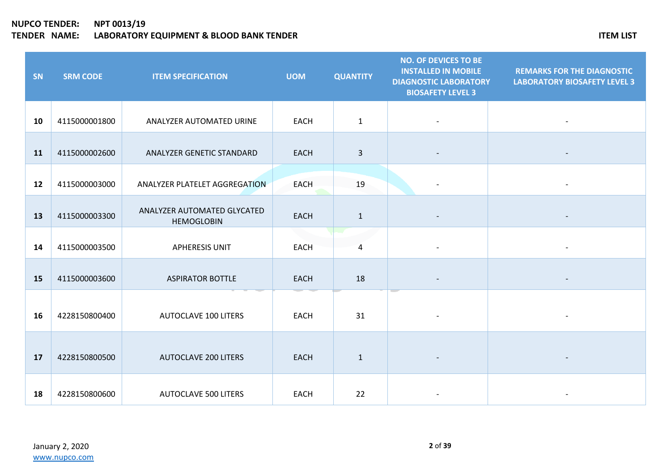| SN | <b>SRM CODE</b> | <b>ITEM SPECIFICATION</b>                        | <b>UOM</b>  | <b>QUANTITY</b> | <b>NO. OF DEVICES TO BE</b><br><b>INSTALLED IN MOBILE</b><br><b>DIAGNOSTIC LABORATORY</b><br><b>BIOSAFETY LEVEL 3</b> | <b>REMARKS FOR THE DIAGNOSTIC</b><br><b>LABORATORY BIOSAFETY LEVEL 3</b> |
|----|-----------------|--------------------------------------------------|-------------|-----------------|-----------------------------------------------------------------------------------------------------------------------|--------------------------------------------------------------------------|
| 10 | 4115000001800   | ANALYZER AUTOMATED URINE                         | <b>EACH</b> | $\mathbf{1}$    |                                                                                                                       |                                                                          |
| 11 | 4115000002600   | ANALYZER GENETIC STANDARD                        | <b>EACH</b> | $\overline{3}$  |                                                                                                                       |                                                                          |
| 12 | 4115000003000   | ANALYZER PLATELET AGGREGATION                    | <b>EACH</b> | 19              |                                                                                                                       |                                                                          |
| 13 | 4115000003300   | ANALYZER AUTOMATED GLYCATED<br><b>HEMOGLOBIN</b> | <b>EACH</b> | $\mathbf{1}$    |                                                                                                                       |                                                                          |
| 14 | 4115000003500   | <b>APHERESIS UNIT</b>                            | <b>EACH</b> | $\overline{4}$  |                                                                                                                       |                                                                          |
| 15 | 4115000003600   | <b>ASPIRATOR BOTTLE</b>                          | <b>EACH</b> | 18              |                                                                                                                       |                                                                          |
| 16 | 4228150800400   | <b>AUTOCLAVE 100 LITERS</b>                      | <b>EACH</b> | 31              |                                                                                                                       |                                                                          |
| 17 | 4228150800500   | <b>AUTOCLAVE 200 LITERS</b>                      | <b>EACH</b> | $\mathbf{1}$    |                                                                                                                       |                                                                          |
| 18 | 4228150800600   | <b>AUTOCLAVE 500 LITERS</b>                      | <b>EACH</b> | 22              |                                                                                                                       |                                                                          |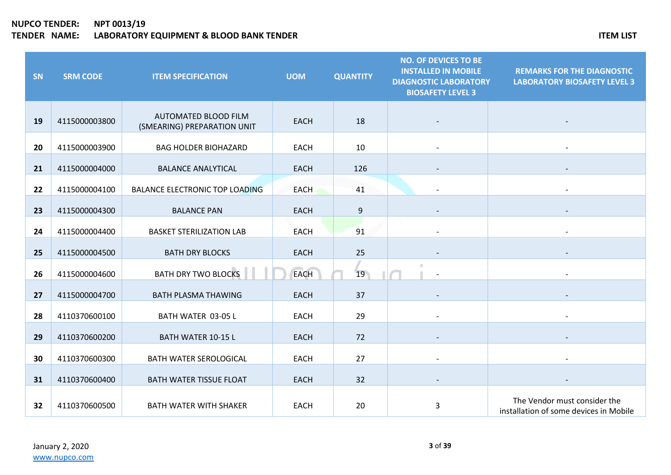| SN | <b>SRM CODE</b> | <b>ITEM SPECIFICATION</b>                           | <b>UOM</b>  | <b>QUANTITY</b> | <b>NO. OF DEVICES TO BE</b><br><b>INSTALLED IN MOBILE</b><br><b>DIAGNOSTIC LABORATORY</b><br><b>BIOSAFETY LEVEL 3</b> | <b>REMARKS FOR THE DIAGNOSTIC</b><br><b>LABORATORY BIOSAFETY LEVEL 3</b> |
|----|-----------------|-----------------------------------------------------|-------------|-----------------|-----------------------------------------------------------------------------------------------------------------------|--------------------------------------------------------------------------|
| 19 | 4115000003800   | AUTOMATED BLOOD FILM<br>(SMEARING) PREPARATION UNIT | <b>EACH</b> | 18              |                                                                                                                       |                                                                          |
| 20 | 4115000003900   | <b>BAG HOLDER BIOHAZARD</b>                         | <b>EACH</b> | 10              |                                                                                                                       |                                                                          |
| 21 | 4115000004000   | <b>BALANCE ANALYTICAL</b>                           | <b>EACH</b> | 126             |                                                                                                                       |                                                                          |
| 22 | 4115000004100   | <b>BALANCE ELECTRONIC TOP LOADING</b>               | <b>EACH</b> | 41              |                                                                                                                       |                                                                          |
| 23 | 4115000004300   | <b>BALANCE PAN</b>                                  | <b>EACH</b> | 9               |                                                                                                                       |                                                                          |
| 24 | 4115000004400   | <b>BASKET STERILIZATION LAB</b>                     | <b>EACH</b> | 91              |                                                                                                                       |                                                                          |
| 25 | 4115000004500   | <b>BATH DRY BLOCKS</b>                              | <b>EACH</b> | 25              |                                                                                                                       |                                                                          |
| 26 | 4115000004600   | <b>BATH DRY TWO BLOCKS</b>                          | <b>EACH</b> | 19              |                                                                                                                       |                                                                          |
| 27 | 4115000004700   | <b>BATH PLASMA THAWING</b>                          | <b>EACH</b> | 37              |                                                                                                                       |                                                                          |
| 28 | 4110370600100   | BATH WATER 03-05 L                                  | <b>EACH</b> | 29              |                                                                                                                       | $\blacksquare$                                                           |
| 29 | 4110370600200   | <b>BATH WATER 10-15 L</b>                           | <b>EACH</b> | 72              |                                                                                                                       |                                                                          |
| 30 | 4110370600300   | <b>BATH WATER SEROLOGICAL</b>                       | <b>EACH</b> | 27              |                                                                                                                       |                                                                          |
| 31 | 4110370600400   | <b>BATH WATER TISSUE FLOAT</b>                      | <b>EACH</b> | 32              |                                                                                                                       |                                                                          |
| 32 | 4110370600500   | <b>BATH WATER WITH SHAKER</b>                       | <b>EACH</b> | 20              | 3                                                                                                                     | The Vendor must consider the<br>installation of some devices in Mobile   |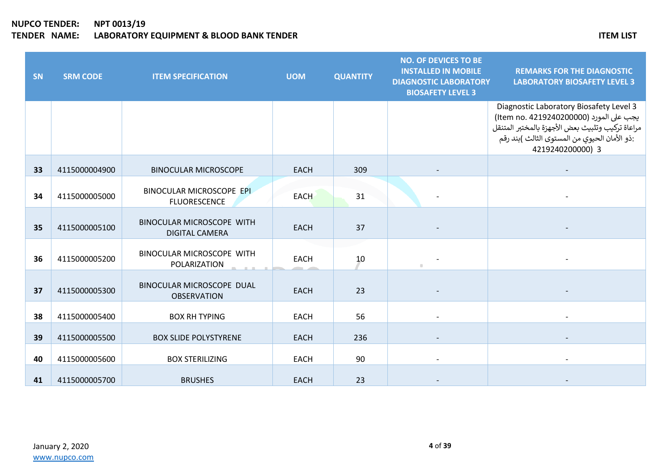| SN | <b>SRM CODE</b> | <b>ITEM SPECIFICATION</b>                          | <b>UOM</b>  | <b>QUANTITY</b> | <b>NO. OF DEVICES TO BE</b><br><b>INSTALLED IN MOBILE</b><br><b>DIAGNOSTIC LABORATORY</b><br><b>BIOSAFETY LEVEL 3</b> | <b>REMARKS FOR THE DIAGNOSTIC</b><br><b>LABORATORY BIOSAFETY LEVEL 3</b>                                                                                                                                   |
|----|-----------------|----------------------------------------------------|-------------|-----------------|-----------------------------------------------------------------------------------------------------------------------|------------------------------------------------------------------------------------------------------------------------------------------------------------------------------------------------------------|
|    |                 |                                                    |             |                 |                                                                                                                       | Diagnostic Laboratory Biosafety Level 3<br>يجب على المورد (Item no. 4219240200000)<br>مراعاة تركيب وتثبيث بعض الأجهزة بالمختبر المتنقل<br>:ذو الأمان الحيوي من المستوى الثالث )بند رقم<br>4219240200000) 3 |
| 33 | 4115000004900   | <b>BINOCULAR MICROSCOPE</b>                        | <b>EACH</b> | 309             |                                                                                                                       |                                                                                                                                                                                                            |
| 34 | 4115000005000   | BINOCULAR MICROSCOPE EPI<br><b>FLUORESCENCE</b>    | <b>EACH</b> | 31              |                                                                                                                       |                                                                                                                                                                                                            |
| 35 | 4115000005100   | BINOCULAR MICROSCOPE WITH<br><b>DIGITAL CAMERA</b> | <b>EACH</b> | 37              |                                                                                                                       |                                                                                                                                                                                                            |
| 36 | 4115000005200   | <b>BINOCULAR MICROSCOPE WITH</b><br>POLARIZATION   | <b>EACH</b> | 10              |                                                                                                                       |                                                                                                                                                                                                            |
| 37 | 4115000005300   | BINOCULAR MICROSCOPE DUAL<br><b>OBSERVATION</b>    | <b>EACH</b> | 23              |                                                                                                                       |                                                                                                                                                                                                            |
| 38 | 4115000005400   | <b>BOX RH TYPING</b>                               | <b>EACH</b> | 56              |                                                                                                                       |                                                                                                                                                                                                            |
| 39 | 4115000005500   | <b>BOX SLIDE POLYSTYRENE</b>                       | <b>EACH</b> | 236             |                                                                                                                       |                                                                                                                                                                                                            |
| 40 | 4115000005600   | <b>BOX STERILIZING</b>                             | <b>EACH</b> | 90              |                                                                                                                       |                                                                                                                                                                                                            |
| 41 | 4115000005700   | <b>BRUSHES</b>                                     | <b>EACH</b> | 23              |                                                                                                                       |                                                                                                                                                                                                            |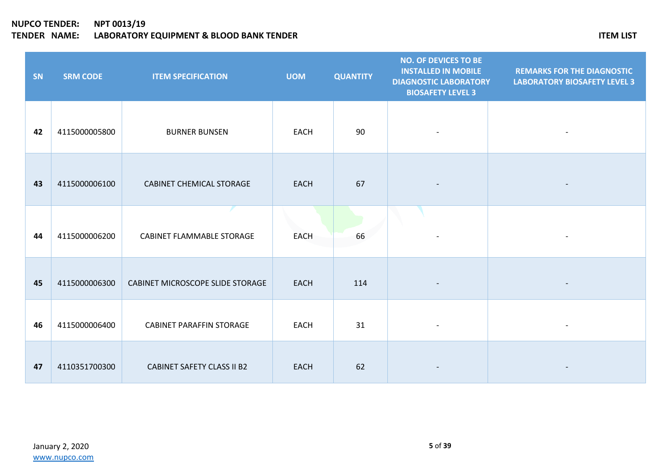| SN | <b>SRM CODE</b> | <b>ITEM SPECIFICATION</b>         | <b>UOM</b>  | <b>QUANTITY</b> | <b>NO. OF DEVICES TO BE</b><br><b>INSTALLED IN MOBILE</b><br><b>DIAGNOSTIC LABORATORY</b><br><b>BIOSAFETY LEVEL 3</b> | <b>REMARKS FOR THE DIAGNOSTIC</b><br><b>LABORATORY BIOSAFETY LEVEL 3</b> |
|----|-----------------|-----------------------------------|-------------|-----------------|-----------------------------------------------------------------------------------------------------------------------|--------------------------------------------------------------------------|
| 42 | 4115000005800   | <b>BURNER BUNSEN</b>              | <b>EACH</b> | 90              |                                                                                                                       |                                                                          |
| 43 | 4115000006100   | <b>CABINET CHEMICAL STORAGE</b>   | <b>EACH</b> | 67              |                                                                                                                       |                                                                          |
| 44 | 4115000006200   | CABINET FLAMMABLE STORAGE         | <b>EACH</b> | 66              |                                                                                                                       |                                                                          |
| 45 | 4115000006300   | CABINET MICROSCOPE SLIDE STORAGE  | <b>EACH</b> | 114             |                                                                                                                       |                                                                          |
| 46 | 4115000006400   | <b>CABINET PARAFFIN STORAGE</b>   | <b>EACH</b> | 31              |                                                                                                                       |                                                                          |
| 47 | 4110351700300   | <b>CABINET SAFETY CLASS II B2</b> | <b>EACH</b> | 62              |                                                                                                                       |                                                                          |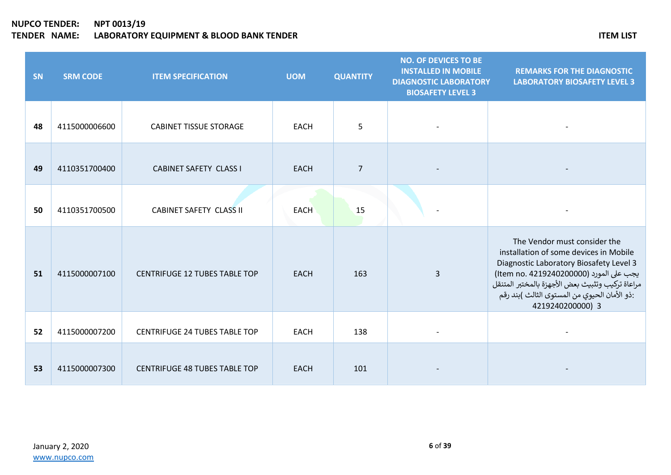| SN | <b>SRM CODE</b> | <b>ITEM SPECIFICATION</b>            | <b>UOM</b>  | <b>QUANTITY</b> | <b>NO. OF DEVICES TO BE</b><br><b>INSTALLED IN MOBILE</b><br><b>DIAGNOSTIC LABORATORY</b><br><b>BIOSAFETY LEVEL 3</b> | <b>REMARKS FOR THE DIAGNOSTIC</b><br><b>LABORATORY BIOSAFETY LEVEL 3</b>                                                                                                                                                                                                             |
|----|-----------------|--------------------------------------|-------------|-----------------|-----------------------------------------------------------------------------------------------------------------------|--------------------------------------------------------------------------------------------------------------------------------------------------------------------------------------------------------------------------------------------------------------------------------------|
| 48 | 4115000006600   | <b>CABINET TISSUE STORAGE</b>        | <b>EACH</b> | 5               |                                                                                                                       |                                                                                                                                                                                                                                                                                      |
| 49 | 4110351700400   | <b>CABINET SAFETY CLASS I</b>        | <b>EACH</b> | $\overline{7}$  |                                                                                                                       |                                                                                                                                                                                                                                                                                      |
| 50 | 4110351700500   | <b>CABINET SAFETY CLASS II</b>       | <b>EACH</b> | 15              |                                                                                                                       |                                                                                                                                                                                                                                                                                      |
| 51 | 4115000007100   | <b>CENTRIFUGE 12 TUBES TABLE TOP</b> | <b>EACH</b> | 163             | 3                                                                                                                     | The Vendor must consider the<br>installation of some devices in Mobile<br>Diagnostic Laboratory Biosafety Level 3<br>يجب على المورد (Item no. 4219240200000)<br>مراعاة تركيب وتثبيث بعض الأجهزة بالمختبر المتنقل<br>:ذو الأمان الحيوي من المستوى الثالث )بند رقم<br>4219240200000) 3 |
| 52 | 4115000007200   | <b>CENTRIFUGE 24 TUBES TABLE TOP</b> | <b>EACH</b> | 138             |                                                                                                                       |                                                                                                                                                                                                                                                                                      |
| 53 | 4115000007300   | <b>CENTRIFUGE 48 TUBES TABLE TOP</b> | <b>EACH</b> | 101             |                                                                                                                       |                                                                                                                                                                                                                                                                                      |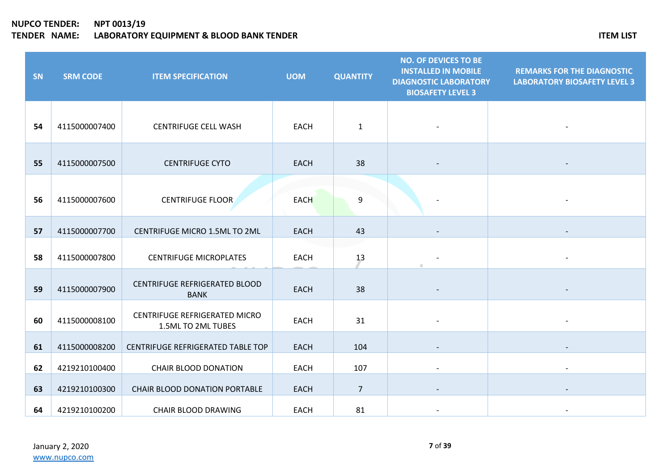| <b>SN</b> | <b>SRM CODE</b> | <b>ITEM SPECIFICATION</b>                           | <b>UOM</b>  | <b>QUANTITY</b> | <b>NO. OF DEVICES TO BE</b><br><b>INSTALLED IN MOBILE</b><br><b>DIAGNOSTIC LABORATORY</b><br><b>BIOSAFETY LEVEL 3</b> | <b>REMARKS FOR THE DIAGNOSTIC</b><br><b>LABORATORY BIOSAFETY LEVEL 3</b> |
|-----------|-----------------|-----------------------------------------------------|-------------|-----------------|-----------------------------------------------------------------------------------------------------------------------|--------------------------------------------------------------------------|
| 54        | 4115000007400   | <b>CENTRIFUGE CELL WASH</b>                         | <b>EACH</b> | $\mathbf{1}$    |                                                                                                                       |                                                                          |
| 55        | 4115000007500   | <b>CENTRIFUGE CYTO</b>                              | <b>EACH</b> | 38              |                                                                                                                       |                                                                          |
| 56        | 4115000007600   | <b>CENTRIFUGE FLOOR</b>                             | <b>EACH</b> | 9               |                                                                                                                       |                                                                          |
| 57        | 4115000007700   | CENTRIFUGE MICRO 1.5ML TO 2ML                       | EACH        | 43              |                                                                                                                       |                                                                          |
| 58        | 4115000007800   | <b>CENTRIFUGE MICROPLATES</b>                       | EACH        | 13              |                                                                                                                       |                                                                          |
| 59        | 4115000007900   | CENTRIFUGE REFRIGERATED BLOOD<br><b>BANK</b>        | <b>EACH</b> | 38              |                                                                                                                       |                                                                          |
| 60        | 4115000008100   | CENTRIFUGE REFRIGERATED MICRO<br>1.5ML TO 2ML TUBES | <b>EACH</b> | 31              |                                                                                                                       |                                                                          |
| 61        | 4115000008200   | CENTRIFUGE REFRIGERATED TABLE TOP                   | <b>EACH</b> | 104             |                                                                                                                       |                                                                          |
| 62        | 4219210100400   | <b>CHAIR BLOOD DONATION</b>                         | <b>EACH</b> | 107             |                                                                                                                       |                                                                          |
| 63        | 4219210100300   | CHAIR BLOOD DONATION PORTABLE                       | <b>EACH</b> | $\overline{7}$  |                                                                                                                       |                                                                          |
| 64        | 4219210100200   | <b>CHAIR BLOOD DRAWING</b>                          | <b>EACH</b> | 81              |                                                                                                                       |                                                                          |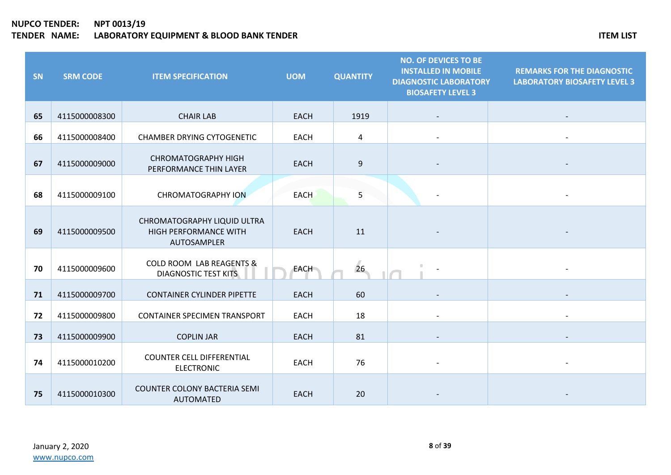| SN | <b>SRM CODE</b> | <b>ITEM SPECIFICATION</b>                                                  | <b>UOM</b>  | <b>QUANTITY</b> | <b>NO. OF DEVICES TO BE</b><br><b>INSTALLED IN MOBILE</b><br><b>DIAGNOSTIC LABORATORY</b><br><b>BIOSAFETY LEVEL 3</b> | <b>REMARKS FOR THE DIAGNOSTIC</b><br><b>LABORATORY BIOSAFETY LEVEL 3</b> |
|----|-----------------|----------------------------------------------------------------------------|-------------|-----------------|-----------------------------------------------------------------------------------------------------------------------|--------------------------------------------------------------------------|
| 65 | 4115000008300   | <b>CHAIR LAB</b>                                                           | <b>EACH</b> | 1919            |                                                                                                                       |                                                                          |
| 66 | 4115000008400   | <b>CHAMBER DRYING CYTOGENETIC</b>                                          | <b>EACH</b> | 4               |                                                                                                                       |                                                                          |
| 67 | 4115000009000   | <b>CHROMATOGRAPHY HIGH</b><br>PERFORMANCE THIN LAYER                       | <b>EACH</b> | $9\,$           |                                                                                                                       |                                                                          |
| 68 | 4115000009100   | <b>CHROMATOGRAPHY ION</b>                                                  | <b>EACH</b> | 5               |                                                                                                                       |                                                                          |
| 69 | 4115000009500   | CHROMATOGRAPHY LIQUID ULTRA<br><b>HIGH PERFORMANCE WITH</b><br>AUTOSAMPLER | <b>EACH</b> | 11              |                                                                                                                       |                                                                          |
| 70 | 4115000009600   | <b>COLD ROOM LAB REAGENTS &amp;</b><br><b>DIAGNOSTIC TEST KITS</b>         | <b>EACH</b> | 26              |                                                                                                                       |                                                                          |
| 71 | 4115000009700   | <b>CONTAINER CYLINDER PIPETTE</b>                                          | <b>EACH</b> | 60              |                                                                                                                       |                                                                          |
| 72 | 4115000009800   | <b>CONTAINER SPECIMEN TRANSPORT</b>                                        | <b>EACH</b> | 18              |                                                                                                                       |                                                                          |
| 73 | 4115000009900   | <b>COPLIN JAR</b>                                                          | <b>EACH</b> | 81              |                                                                                                                       |                                                                          |
| 74 | 4115000010200   | <b>COUNTER CELL DIFFERENTIAL</b><br><b>ELECTRONIC</b>                      | <b>EACH</b> | 76              |                                                                                                                       |                                                                          |
| 75 | 4115000010300   | <b>COUNTER COLONY BACTERIA SEMI</b><br><b>AUTOMATED</b>                    | <b>EACH</b> | 20              |                                                                                                                       |                                                                          |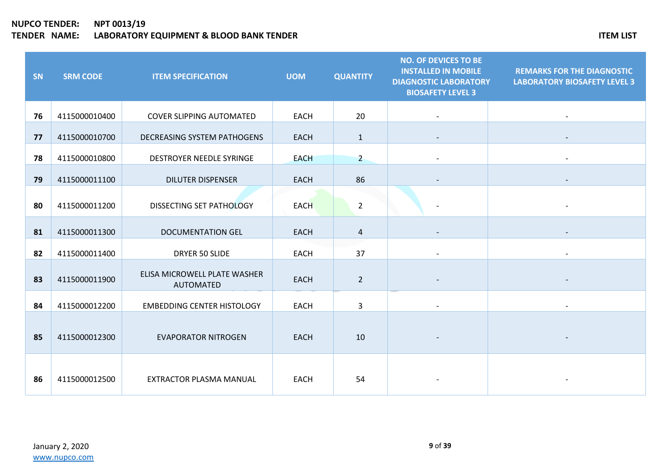| SN | <b>SRM CODE</b> | <b>ITEM SPECIFICATION</b>                        | <b>UOM</b>  | <b>QUANTITY</b> | <b>NO. OF DEVICES TO BE</b><br><b>INSTALLED IN MOBILE</b><br><b>DIAGNOSTIC LABORATORY</b><br><b>BIOSAFETY LEVEL 3</b> | <b>REMARKS FOR THE DIAGNOSTIC</b><br><b>LABORATORY BIOSAFETY LEVEL 3</b> |
|----|-----------------|--------------------------------------------------|-------------|-----------------|-----------------------------------------------------------------------------------------------------------------------|--------------------------------------------------------------------------|
| 76 | 4115000010400   | <b>COVER SLIPPING AUTOMATED</b>                  | <b>EACH</b> | 20              |                                                                                                                       |                                                                          |
| 77 | 4115000010700   | <b>DECREASING SYSTEM PATHOGENS</b>               | <b>EACH</b> | $\mathbf{1}$    |                                                                                                                       |                                                                          |
| 78 | 4115000010800   | DESTROYER NEEDLE SYRINGE                         | <b>EACH</b> | $\overline{2}$  |                                                                                                                       |                                                                          |
| 79 | 4115000011100   | <b>DILUTER DISPENSER</b>                         | <b>EACH</b> | 86              |                                                                                                                       |                                                                          |
| 80 | 4115000011200   | DISSECTING SET PATHOLOGY                         | <b>EACH</b> | $\overline{2}$  |                                                                                                                       |                                                                          |
| 81 | 4115000011300   | <b>DOCUMENTATION GEL</b>                         | <b>EACH</b> | 4               |                                                                                                                       |                                                                          |
| 82 | 4115000011400   | DRYER 50 SLIDE                                   | <b>EACH</b> | 37              |                                                                                                                       |                                                                          |
| 83 | 4115000011900   | ELISA MICROWELL PLATE WASHER<br><b>AUTOMATED</b> | <b>EACH</b> | $\overline{2}$  |                                                                                                                       |                                                                          |
| 84 | 4115000012200   | <b>EMBEDDING CENTER HISTOLOGY</b>                | <b>EACH</b> | 3               |                                                                                                                       |                                                                          |
| 85 | 4115000012300   | <b>EVAPORATOR NITROGEN</b>                       | <b>EACH</b> | 10              |                                                                                                                       |                                                                          |
| 86 | 4115000012500   | EXTRACTOR PLASMA MANUAL                          | <b>EACH</b> | 54              |                                                                                                                       |                                                                          |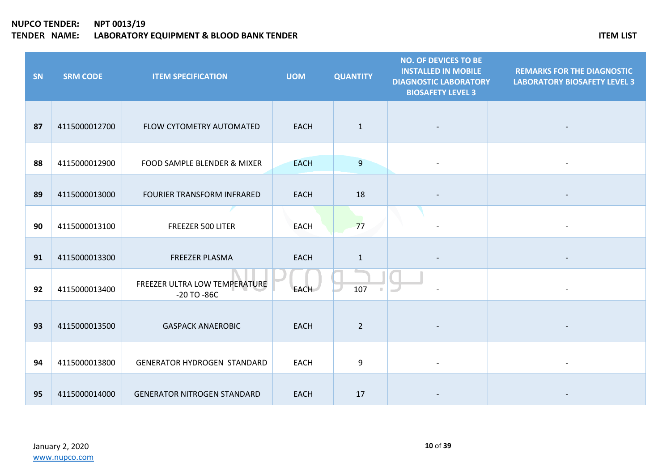| SN | <b>SRM CODE</b> | <b>ITEM SPECIFICATION</b>                        | <b>UOM</b>  | <b>QUANTITY</b> | <b>NO. OF DEVICES TO BE</b><br><b>INSTALLED IN MOBILE</b><br><b>DIAGNOSTIC LABORATORY</b><br><b>BIOSAFETY LEVEL 3</b> | <b>REMARKS FOR THE DIAGNOSTIC</b><br><b>LABORATORY BIOSAFETY LEVEL 3</b> |
|----|-----------------|--------------------------------------------------|-------------|-----------------|-----------------------------------------------------------------------------------------------------------------------|--------------------------------------------------------------------------|
| 87 | 4115000012700   | FLOW CYTOMETRY AUTOMATED                         | <b>EACH</b> | $\mathbf{1}$    |                                                                                                                       |                                                                          |
| 88 | 4115000012900   | FOOD SAMPLE BLENDER & MIXER                      | <b>EACH</b> | 9               |                                                                                                                       |                                                                          |
| 89 | 4115000013000   | FOURIER TRANSFORM INFRARED                       | <b>EACH</b> | 18              |                                                                                                                       |                                                                          |
| 90 | 4115000013100   | FREEZER 500 LITER                                | <b>EACH</b> | 77              |                                                                                                                       |                                                                          |
| 91 | 4115000013300   | FREEZER PLASMA                                   | <b>EACH</b> | $\mathbf{1}$    |                                                                                                                       |                                                                          |
| 92 | 4115000013400   | FREEZER ULTRA LOW TEMPERATURE<br>$-20$ TO $-86C$ | EACH        | 107             |                                                                                                                       |                                                                          |
| 93 | 4115000013500   | <b>GASPACK ANAEROBIC</b>                         | <b>EACH</b> | $\overline{2}$  |                                                                                                                       |                                                                          |
| 94 | 4115000013800   | <b>GENERATOR HYDROGEN STANDARD</b>               | <b>EACH</b> | 9               |                                                                                                                       |                                                                          |
| 95 | 4115000014000   | <b>GENERATOR NITROGEN STANDARD</b>               | <b>EACH</b> | 17              |                                                                                                                       |                                                                          |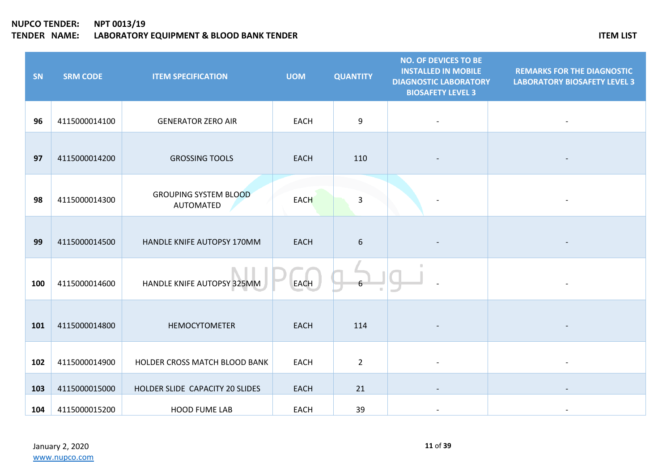| SN  | <b>SRM CODE</b> | <b>ITEM SPECIFICATION</b>                 | <b>UOM</b>  | <b>QUANTITY</b>  | <b>NO. OF DEVICES TO BE</b><br><b>INSTALLED IN MOBILE</b><br><b>DIAGNOSTIC LABORATORY</b><br><b>BIOSAFETY LEVEL 3</b> | <b>REMARKS FOR THE DIAGNOSTIC</b><br><b>LABORATORY BIOSAFETY LEVEL 3</b> |
|-----|-----------------|-------------------------------------------|-------------|------------------|-----------------------------------------------------------------------------------------------------------------------|--------------------------------------------------------------------------|
| 96  | 4115000014100   | <b>GENERATOR ZERO AIR</b>                 | <b>EACH</b> | 9                |                                                                                                                       |                                                                          |
| 97  | 4115000014200   | <b>GROSSING TOOLS</b>                     | <b>EACH</b> | 110              |                                                                                                                       |                                                                          |
| 98  | 4115000014300   | <b>GROUPING SYSTEM BLOOD</b><br>AUTOMATED | <b>EACH</b> | 3                | $\overline{\phantom{a}}$                                                                                              |                                                                          |
| 99  | 4115000014500   | HANDLE KNIFE AUTOPSY 170MM                | <b>EACH</b> | $\boldsymbol{6}$ |                                                                                                                       |                                                                          |
| 100 | 4115000014600   | HANDLE KNIFE AUTOPSY 325MM                | <b>EACH</b> | 6                |                                                                                                                       |                                                                          |
| 101 | 4115000014800   | <b>HEMOCYTOMETER</b>                      | <b>EACH</b> | 114              |                                                                                                                       |                                                                          |
| 102 | 4115000014900   | HOLDER CROSS MATCH BLOOD BANK             | <b>EACH</b> | $\overline{2}$   |                                                                                                                       |                                                                          |
| 103 | 4115000015000   | HOLDER SLIDE CAPACITY 20 SLIDES           | <b>EACH</b> | 21               |                                                                                                                       |                                                                          |
| 104 | 4115000015200   | <b>HOOD FUME LAB</b>                      | <b>EACH</b> | 39               |                                                                                                                       |                                                                          |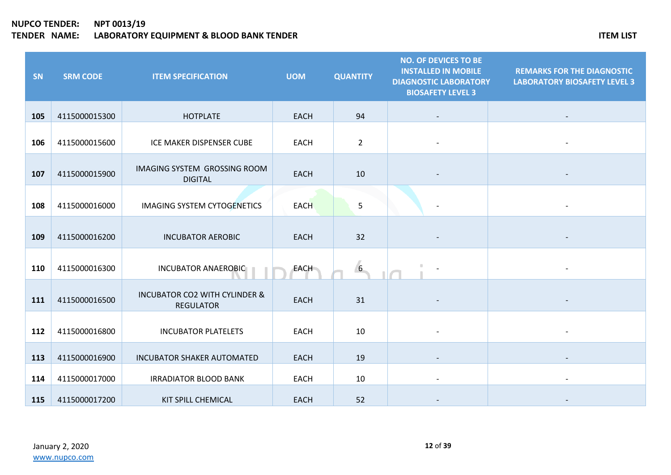| SN  | <b>SRM CODE</b> | <b>ITEM SPECIFICATION</b>                                    | <b>UOM</b>  | <b>QUANTITY</b> | <b>NO. OF DEVICES TO BE</b><br><b>INSTALLED IN MOBILE</b><br><b>DIAGNOSTIC LABORATORY</b><br><b>BIOSAFETY LEVEL 3</b> | <b>REMARKS FOR THE DIAGNOSTIC</b><br><b>LABORATORY BIOSAFETY LEVEL 3</b> |
|-----|-----------------|--------------------------------------------------------------|-------------|-----------------|-----------------------------------------------------------------------------------------------------------------------|--------------------------------------------------------------------------|
| 105 | 4115000015300   | <b>HOTPLATE</b>                                              | <b>EACH</b> | 94              |                                                                                                                       |                                                                          |
| 106 | 4115000015600   | ICE MAKER DISPENSER CUBE                                     | <b>EACH</b> | $\overline{2}$  |                                                                                                                       |                                                                          |
| 107 | 4115000015900   | IMAGING SYSTEM GROSSING ROOM<br><b>DIGITAL</b>               | <b>EACH</b> | 10              |                                                                                                                       |                                                                          |
| 108 | 4115000016000   | <b>IMAGING SYSTEM CYTOGENETICS</b>                           | <b>EACH</b> | 5               |                                                                                                                       |                                                                          |
| 109 | 4115000016200   | <b>INCUBATOR AEROBIC</b>                                     | <b>EACH</b> | 32              |                                                                                                                       |                                                                          |
| 110 | 4115000016300   | <b>INCUBATOR ANAEROBIC</b>                                   | <b>EACH</b> | 6               |                                                                                                                       |                                                                          |
| 111 | 4115000016500   | <b>INCUBATOR CO2 WITH CYLINDER &amp;</b><br><b>REGULATOR</b> | EACH        | 31              |                                                                                                                       |                                                                          |
| 112 | 4115000016800   | <b>INCUBATOR PLATELETS</b>                                   | <b>EACH</b> | 10              |                                                                                                                       |                                                                          |
| 113 | 4115000016900   | <b>INCUBATOR SHAKER AUTOMATED</b>                            | <b>EACH</b> | 19              |                                                                                                                       |                                                                          |
| 114 | 4115000017000   | <b>IRRADIATOR BLOOD BANK</b>                                 | <b>EACH</b> | 10              |                                                                                                                       |                                                                          |
| 115 | 4115000017200   | KIT SPILL CHEMICAL                                           | <b>EACH</b> | 52              |                                                                                                                       |                                                                          |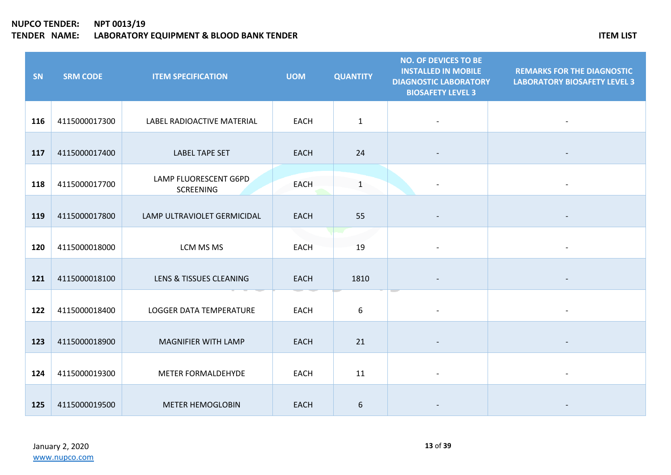| SN  | <b>SRM CODE</b> | <b>ITEM SPECIFICATION</b>                 | <b>UOM</b>  | <b>QUANTITY</b> | <b>NO. OF DEVICES TO BE</b><br><b>INSTALLED IN MOBILE</b><br><b>DIAGNOSTIC LABORATORY</b><br><b>BIOSAFETY LEVEL 3</b> | <b>REMARKS FOR THE DIAGNOSTIC</b><br><b>LABORATORY BIOSAFETY LEVEL 3</b> |
|-----|-----------------|-------------------------------------------|-------------|-----------------|-----------------------------------------------------------------------------------------------------------------------|--------------------------------------------------------------------------|
| 116 | 4115000017300   | LABEL RADIOACTIVE MATERIAL                | <b>EACH</b> | $\mathbf{1}$    |                                                                                                                       |                                                                          |
| 117 | 4115000017400   | <b>LABEL TAPE SET</b>                     | <b>EACH</b> | 24              |                                                                                                                       |                                                                          |
| 118 | 4115000017700   | LAMP FLUORESCENT G6PD<br><b>SCREENING</b> | <b>EACH</b> | $\mathbf{1}$    |                                                                                                                       |                                                                          |
| 119 | 4115000017800   | LAMP ULTRAVIOLET GERMICIDAL               | <b>EACH</b> | 55              |                                                                                                                       |                                                                          |
| 120 | 4115000018000   | LCM MS MS                                 | <b>EACH</b> | 19              |                                                                                                                       |                                                                          |
| 121 | 4115000018100   | LENS & TISSUES CLEANING                   | <b>EACH</b> | 1810            |                                                                                                                       |                                                                          |
| 122 | 4115000018400   | LOGGER DATA TEMPERATURE                   | <b>EACH</b> | 6               |                                                                                                                       |                                                                          |
| 123 | 4115000018900   | MAGNIFIER WITH LAMP                       | <b>EACH</b> | 21              |                                                                                                                       |                                                                          |
| 124 | 4115000019300   | METER FORMALDEHYDE                        | <b>EACH</b> | 11              |                                                                                                                       |                                                                          |
| 125 | 4115000019500   | <b>METER HEMOGLOBIN</b>                   | <b>EACH</b> | 6               |                                                                                                                       |                                                                          |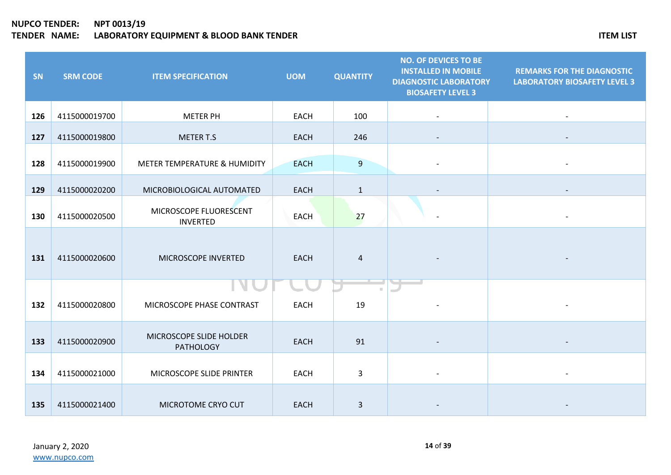| SN  | <b>SRM CODE</b> | <b>ITEM SPECIFICATION</b>                   | <b>UOM</b>  | <b>QUANTITY</b> | <b>NO. OF DEVICES TO BE</b><br><b>INSTALLED IN MOBILE</b><br><b>DIAGNOSTIC LABORATORY</b><br><b>BIOSAFETY LEVEL 3</b> | <b>REMARKS FOR THE DIAGNOSTIC</b><br><b>LABORATORY BIOSAFETY LEVEL 3</b> |
|-----|-----------------|---------------------------------------------|-------------|-----------------|-----------------------------------------------------------------------------------------------------------------------|--------------------------------------------------------------------------|
| 126 | 4115000019700   | <b>METER PH</b>                             | <b>EACH</b> | 100             |                                                                                                                       |                                                                          |
| 127 | 4115000019800   | <b>METER T.S</b>                            | <b>EACH</b> | 246             |                                                                                                                       |                                                                          |
| 128 | 4115000019900   | METER TEMPERATURE & HUMIDITY                | <b>EACH</b> | $\overline{9}$  |                                                                                                                       |                                                                          |
| 129 | 4115000020200   | MICROBIOLOGICAL AUTOMATED                   | <b>EACH</b> | $\mathbf{1}$    |                                                                                                                       |                                                                          |
| 130 | 4115000020500   | MICROSCOPE FLUORESCENT<br><b>INVERTED</b>   | <b>EACH</b> | 27              |                                                                                                                       |                                                                          |
| 131 | 4115000020600   | MICROSCOPE INVERTED                         | <b>EACH</b> | $\overline{4}$  |                                                                                                                       |                                                                          |
| 132 | 4115000020800   | MICROSCOPE PHASE CONTRAST                   | <b>EACH</b> | 19              |                                                                                                                       |                                                                          |
| 133 | 4115000020900   | MICROSCOPE SLIDE HOLDER<br><b>PATHOLOGY</b> | <b>EACH</b> | 91              |                                                                                                                       |                                                                          |
| 134 | 4115000021000   | MICROSCOPE SLIDE PRINTER                    | <b>EACH</b> | $\mathsf{3}$    |                                                                                                                       |                                                                          |
| 135 | 4115000021400   | MICROTOME CRYO CUT                          | <b>EACH</b> | $\mathbf{3}$    |                                                                                                                       |                                                                          |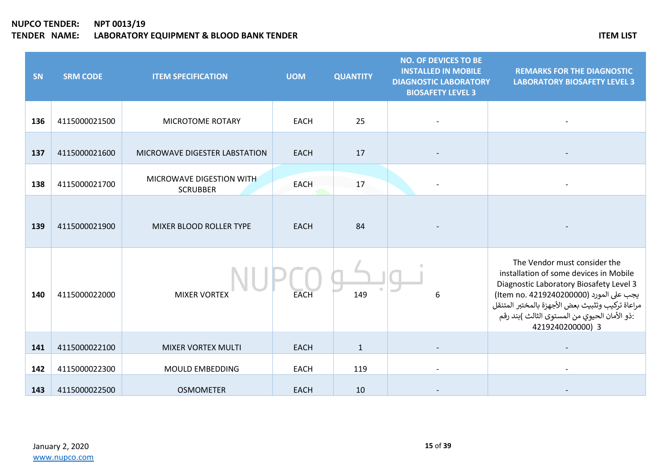| SN  | <b>SRM CODE</b> | <b>ITEM SPECIFICATION</b>                   | <b>UOM</b>  | <b>QUANTITY</b> | <b>NO. OF DEVICES TO BE</b><br><b>INSTALLED IN MOBILE</b><br><b>DIAGNOSTIC LABORATORY</b><br><b>BIOSAFETY LEVEL 3</b> | <b>REMARKS FOR THE DIAGNOSTIC</b><br><b>LABORATORY BIOSAFETY LEVEL 3</b>                                                                                                                                                                                                             |
|-----|-----------------|---------------------------------------------|-------------|-----------------|-----------------------------------------------------------------------------------------------------------------------|--------------------------------------------------------------------------------------------------------------------------------------------------------------------------------------------------------------------------------------------------------------------------------------|
| 136 | 4115000021500   | MICROTOME ROTARY                            | <b>EACH</b> | 25              |                                                                                                                       |                                                                                                                                                                                                                                                                                      |
| 137 | 4115000021600   | MICROWAVE DIGESTER LABSTATION               | <b>EACH</b> | 17              |                                                                                                                       |                                                                                                                                                                                                                                                                                      |
| 138 | 4115000021700   | MICROWAVE DIGESTION WITH<br><b>SCRUBBER</b> | <b>EACH</b> | 17              |                                                                                                                       |                                                                                                                                                                                                                                                                                      |
| 139 | 4115000021900   | MIXER BLOOD ROLLER TYPE                     | <b>EACH</b> | 84              |                                                                                                                       |                                                                                                                                                                                                                                                                                      |
| 140 | 4115000022000   | <b>MIXER VORTEX</b>                         | <b>EACH</b> | 149             | 6                                                                                                                     | The Vendor must consider the<br>installation of some devices in Mobile<br>Diagnostic Laboratory Biosafety Level 3<br>يجب على المورد (Item no. 4219240200000)<br>مراعاة تركيب وتثبيث بعض الأجهزة بالمختبر المتنقل<br>:ذو الأمان الحيوي من المستوى الثالث )بند رقم<br>4219240200000) 3 |
| 141 | 4115000022100   | <b>MIXER VORTEX MULTI</b>                   | <b>EACH</b> | $\mathbf{1}$    |                                                                                                                       |                                                                                                                                                                                                                                                                                      |
| 142 | 4115000022300   | MOULD EMBEDDING                             | <b>EACH</b> | 119             |                                                                                                                       |                                                                                                                                                                                                                                                                                      |
| 143 | 4115000022500   | <b>OSMOMETER</b>                            | <b>EACH</b> | 10              |                                                                                                                       |                                                                                                                                                                                                                                                                                      |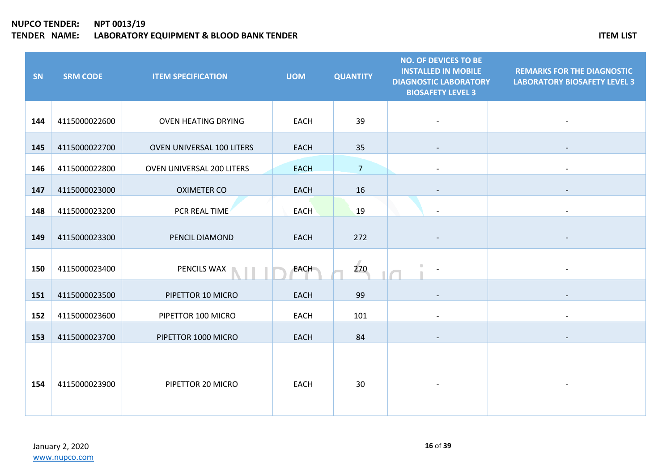| SN  | <b>SRM CODE</b> | <b>ITEM SPECIFICATION</b>  | <b>UOM</b>  | <b>QUANTITY</b> | <b>NO. OF DEVICES TO BE</b><br><b>INSTALLED IN MOBILE</b><br><b>DIAGNOSTIC LABORATORY</b><br><b>BIOSAFETY LEVEL 3</b> | <b>REMARKS FOR THE DIAGNOSTIC</b><br><b>LABORATORY BIOSAFETY LEVEL 3</b> |
|-----|-----------------|----------------------------|-------------|-----------------|-----------------------------------------------------------------------------------------------------------------------|--------------------------------------------------------------------------|
| 144 | 4115000022600   | <b>OVEN HEATING DRYING</b> | <b>EACH</b> | 39              |                                                                                                                       |                                                                          |
| 145 | 4115000022700   | OVEN UNIVERSAL 100 LITERS  | <b>EACH</b> | 35              |                                                                                                                       |                                                                          |
| 146 | 4115000022800   | OVEN UNIVERSAL 200 LITERS  | <b>EACH</b> | $7\overline{ }$ |                                                                                                                       | $\overline{\phantom{a}}$                                                 |
| 147 | 4115000023000   | <b>OXIMETER CO</b>         | <b>EACH</b> | 16              |                                                                                                                       |                                                                          |
| 148 | 4115000023200   | PCR REAL TIME              | EACH        | 19              |                                                                                                                       |                                                                          |
| 149 | 4115000023300   | PENCIL DIAMOND             | EACH        | 272             |                                                                                                                       |                                                                          |
| 150 | 4115000023400   | PENCILS WAX                | <b>EACH</b> | 270             |                                                                                                                       |                                                                          |
| 151 | 4115000023500   | PIPETTOR 10 MICRO          | <b>EACH</b> | 99              |                                                                                                                       |                                                                          |
| 152 | 4115000023600   | PIPETTOR 100 MICRO         | <b>EACH</b> | 101             | $\overline{\phantom{a}}$                                                                                              | $\blacksquare$                                                           |
| 153 | 4115000023700   | PIPETTOR 1000 MICRO        | <b>EACH</b> | 84              |                                                                                                                       |                                                                          |
| 154 | 4115000023900   | PIPETTOR 20 MICRO          | <b>EACH</b> | 30              |                                                                                                                       |                                                                          |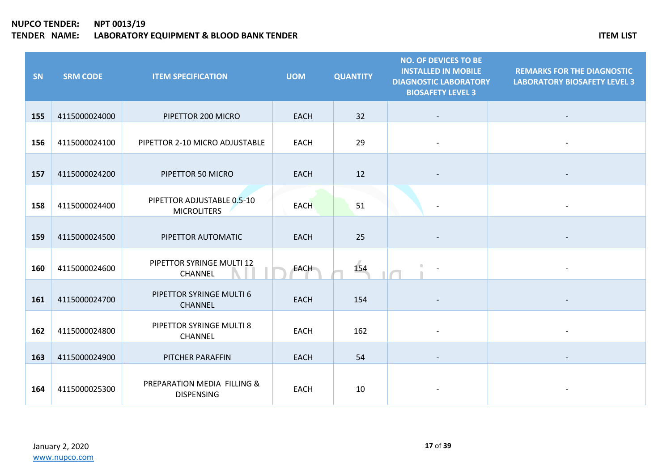| SN  | <b>SRM CODE</b> | <b>ITEM SPECIFICATION</b>                        | <b>UOM</b>  | <b>QUANTITY</b> | <b>NO. OF DEVICES TO BE</b><br><b>INSTALLED IN MOBILE</b><br><b>DIAGNOSTIC LABORATORY</b><br><b>BIOSAFETY LEVEL 3</b> | <b>REMARKS FOR THE DIAGNOSTIC</b><br><b>LABORATORY BIOSAFETY LEVEL 3</b> |
|-----|-----------------|--------------------------------------------------|-------------|-----------------|-----------------------------------------------------------------------------------------------------------------------|--------------------------------------------------------------------------|
| 155 | 4115000024000   | PIPETTOR 200 MICRO                               | <b>EACH</b> | 32              |                                                                                                                       |                                                                          |
| 156 | 4115000024100   | PIPETTOR 2-10 MICRO ADJUSTABLE                   | <b>EACH</b> | 29              |                                                                                                                       |                                                                          |
| 157 | 4115000024200   | PIPETTOR 50 MICRO                                | <b>EACH</b> | 12              |                                                                                                                       |                                                                          |
| 158 | 4115000024400   | PIPETTOR ADJUSTABLE 0.5-10<br><b>MICROLITERS</b> | <b>EACH</b> | 51              |                                                                                                                       |                                                                          |
| 159 | 4115000024500   | PIPETTOR AUTOMATIC                               | <b>EACH</b> | 25              |                                                                                                                       |                                                                          |
| 160 | 4115000024600   | PIPETTOR SYRINGE MULTI 12<br>CHANNEL             | <b>EACH</b> | 154             |                                                                                                                       |                                                                          |
| 161 | 4115000024700   | PIPETTOR SYRINGE MULTI 6<br><b>CHANNEL</b>       | <b>EACH</b> | 154             |                                                                                                                       |                                                                          |
| 162 | 4115000024800   | PIPETTOR SYRINGE MULTI 8<br>CHANNEL              | <b>EACH</b> | 162             |                                                                                                                       |                                                                          |
| 163 | 4115000024900   | PITCHER PARAFFIN                                 | <b>EACH</b> | 54              |                                                                                                                       |                                                                          |
| 164 | 4115000025300   | PREPARATION MEDIA FILLING &<br><b>DISPENSING</b> | <b>EACH</b> | 10              |                                                                                                                       |                                                                          |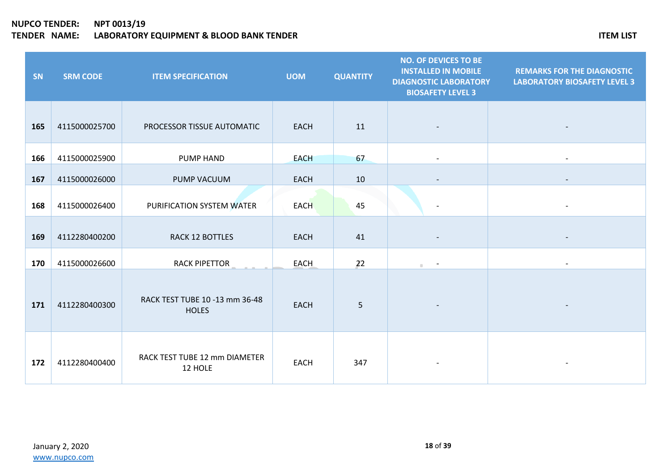| SN  | <b>SRM CODE</b> | <b>ITEM SPECIFICATION</b>                      | <b>UOM</b>  | <b>QUANTITY</b> | <b>NO. OF DEVICES TO BE</b><br><b>INSTALLED IN MOBILE</b><br><b>DIAGNOSTIC LABORATORY</b><br><b>BIOSAFETY LEVEL 3</b> | <b>REMARKS FOR THE DIAGNOSTIC</b><br><b>LABORATORY BIOSAFETY LEVEL 3</b> |
|-----|-----------------|------------------------------------------------|-------------|-----------------|-----------------------------------------------------------------------------------------------------------------------|--------------------------------------------------------------------------|
| 165 | 4115000025700   | PROCESSOR TISSUE AUTOMATIC                     | <b>EACH</b> | 11              |                                                                                                                       |                                                                          |
| 166 | 4115000025900   | PUMP HAND                                      | <b>EACH</b> | 67              |                                                                                                                       |                                                                          |
| 167 | 4115000026000   | PUMP VACUUM                                    | <b>EACH</b> | 10              |                                                                                                                       |                                                                          |
| 168 | 4115000026400   | PURIFICATION SYSTEM WATER                      | <b>EACH</b> | 45              | $\overline{\phantom{a}}$                                                                                              |                                                                          |
| 169 | 4112280400200   | RACK 12 BOTTLES                                | <b>EACH</b> | 41              |                                                                                                                       |                                                                          |
| 170 | 4115000026600   | <b>RACK PIPETTOR</b>                           | <b>EACH</b> | 22              | $\mathbb{R}^n$ .                                                                                                      |                                                                          |
| 171 | 4112280400300   | RACK TEST TUBE 10 -13 mm 36-48<br><b>HOLES</b> | <b>EACH</b> | 5               |                                                                                                                       |                                                                          |
| 172 | 4112280400400   | RACK TEST TUBE 12 mm DIAMETER<br>12 HOLE       | <b>EACH</b> | 347             |                                                                                                                       |                                                                          |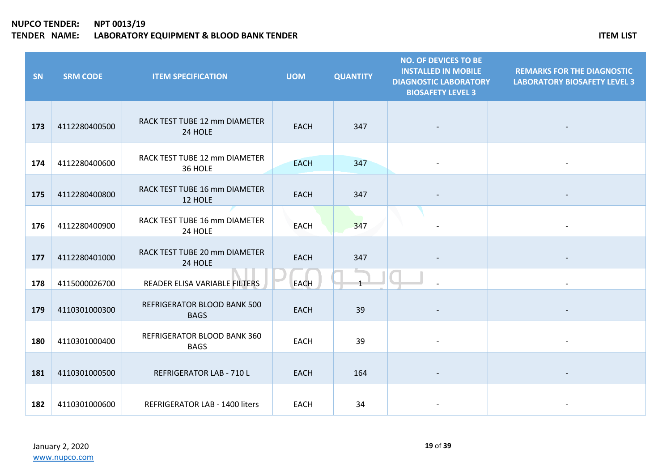| SN  | <b>SRM CODE</b> | <b>ITEM SPECIFICATION</b>                  | <b>UOM</b>  | <b>QUANTITY</b> | <b>NO. OF DEVICES TO BE</b><br><b>INSTALLED IN MOBILE</b><br><b>DIAGNOSTIC LABORATORY</b><br><b>BIOSAFETY LEVEL 3</b> | <b>REMARKS FOR THE DIAGNOSTIC</b><br><b>LABORATORY BIOSAFETY LEVEL 3</b> |
|-----|-----------------|--------------------------------------------|-------------|-----------------|-----------------------------------------------------------------------------------------------------------------------|--------------------------------------------------------------------------|
| 173 | 4112280400500   | RACK TEST TUBE 12 mm DIAMETER<br>24 HOLE   | <b>EACH</b> | 347             |                                                                                                                       |                                                                          |
| 174 | 4112280400600   | RACK TEST TUBE 12 mm DIAMETER<br>36 HOLE   | <b>EACH</b> | 347             |                                                                                                                       |                                                                          |
| 175 | 4112280400800   | RACK TEST TUBE 16 mm DIAMETER<br>12 HOLE   | <b>EACH</b> | 347             |                                                                                                                       |                                                                          |
| 176 | 4112280400900   | RACK TEST TUBE 16 mm DIAMETER<br>24 HOLE   | <b>EACH</b> | 347             |                                                                                                                       |                                                                          |
| 177 | 4112280401000   | RACK TEST TUBE 20 mm DIAMETER<br>24 HOLE   | <b>EACH</b> | 347             |                                                                                                                       |                                                                          |
| 178 | 4115000026700   | READER ELISA VARIABLE FILTERS              | <b>EACH</b> | $\mathbf{1}$    |                                                                                                                       |                                                                          |
| 179 | 4110301000300   | REFRIGERATOR BLOOD BANK 500<br><b>BAGS</b> | <b>EACH</b> | 39              |                                                                                                                       |                                                                          |
| 180 | 4110301000400   | REFRIGERATOR BLOOD BANK 360<br><b>BAGS</b> | <b>EACH</b> | 39              |                                                                                                                       |                                                                          |
| 181 | 4110301000500   | REFRIGERATOR LAB - 710 L                   | <b>EACH</b> | 164             |                                                                                                                       |                                                                          |
| 182 | 4110301000600   | <b>REFRIGERATOR LAB - 1400 liters</b>      | <b>EACH</b> | 34              |                                                                                                                       |                                                                          |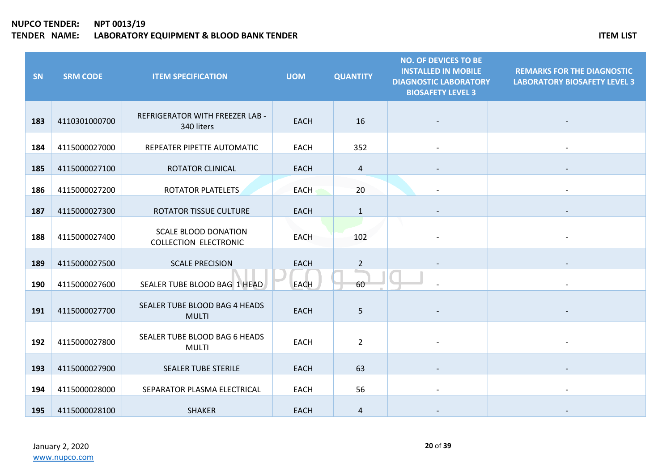| SN  | <b>SRM CODE</b> | <b>ITEM SPECIFICATION</b>                                   | <b>UOM</b>  | <b>QUANTITY</b>   | <b>NO. OF DEVICES TO BE</b><br><b>INSTALLED IN MOBILE</b><br><b>DIAGNOSTIC LABORATORY</b><br><b>BIOSAFETY LEVEL 3</b> | <b>REMARKS FOR THE DIAGNOSTIC</b><br><b>LABORATORY BIOSAFETY LEVEL 3</b> |
|-----|-----------------|-------------------------------------------------------------|-------------|-------------------|-----------------------------------------------------------------------------------------------------------------------|--------------------------------------------------------------------------|
| 183 | 4110301000700   | <b>REFRIGERATOR WITH FREEZER LAB -</b><br>340 liters        | <b>EACH</b> | 16                |                                                                                                                       |                                                                          |
| 184 | 4115000027000   | REPEATER PIPETTE AUTOMATIC                                  | <b>EACH</b> | 352               |                                                                                                                       |                                                                          |
| 185 | 4115000027100   | ROTATOR CLINICAL                                            | <b>EACH</b> | 4                 |                                                                                                                       |                                                                          |
| 186 | 4115000027200   | ROTATOR PLATELETS                                           | <b>EACH</b> | 20                |                                                                                                                       |                                                                          |
| 187 | 4115000027300   | ROTATOR TISSUE CULTURE                                      | <b>EACH</b> | $\mathbf{1}$      |                                                                                                                       |                                                                          |
| 188 | 4115000027400   | <b>SCALE BLOOD DONATION</b><br><b>COLLECTION ELECTRONIC</b> | <b>EACH</b> | 102               |                                                                                                                       |                                                                          |
| 189 | 4115000027500   | <b>SCALE PRECISION</b>                                      | <b>EACH</b> | $\overline{2}$    |                                                                                                                       |                                                                          |
| 190 | 4115000027600   | SEALER TUBE BLOOD BAG 1 HEAD                                | EACH        | a a shekara<br>60 |                                                                                                                       |                                                                          |
| 191 | 4115000027700   | SEALER TUBE BLOOD BAG 4 HEADS<br><b>MULTI</b>               | <b>EACH</b> | 5                 |                                                                                                                       |                                                                          |
| 192 | 4115000027800   | SEALER TUBE BLOOD BAG 6 HEADS<br><b>MULTI</b>               | <b>EACH</b> | $\overline{2}$    |                                                                                                                       |                                                                          |
| 193 | 4115000027900   | <b>SEALER TUBE STERILE</b>                                  | <b>EACH</b> | 63                |                                                                                                                       |                                                                          |
| 194 | 4115000028000   | SEPARATOR PLASMA ELECTRICAL                                 | <b>EACH</b> | 56                |                                                                                                                       |                                                                          |
| 195 | 4115000028100   | <b>SHAKER</b>                                               | <b>EACH</b> | 4                 |                                                                                                                       |                                                                          |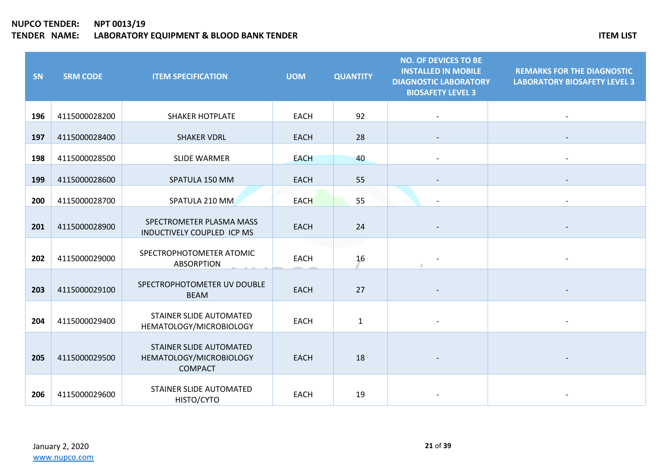| SN  | <b>SRM CODE</b> | <b>ITEM SPECIFICATION</b>                                            | <b>UOM</b>  | <b>QUANTITY</b> | <b>NO. OF DEVICES TO BE</b><br><b>INSTALLED IN MOBILE</b><br><b>DIAGNOSTIC LABORATORY</b><br><b>BIOSAFETY LEVEL 3</b> | <b>REMARKS FOR THE DIAGNOSTIC</b><br><b>LABORATORY BIOSAFETY LEVEL 3</b> |
|-----|-----------------|----------------------------------------------------------------------|-------------|-----------------|-----------------------------------------------------------------------------------------------------------------------|--------------------------------------------------------------------------|
| 196 | 4115000028200   | <b>SHAKER HOTPLATE</b>                                               | <b>EACH</b> | 92              |                                                                                                                       |                                                                          |
| 197 | 4115000028400   | <b>SHAKER VDRL</b>                                                   | <b>EACH</b> | 28              |                                                                                                                       |                                                                          |
| 198 | 4115000028500   | <b>SLIDE WARMER</b>                                                  | <b>EACH</b> | 40              |                                                                                                                       | $\overline{\phantom{a}}$                                                 |
| 199 | 4115000028600   | SPATULA 150 MM                                                       | <b>EACH</b> | 55              |                                                                                                                       |                                                                          |
| 200 | 4115000028700   | SPATULA 210 MM                                                       | <b>EACH</b> | 55              |                                                                                                                       |                                                                          |
| 201 | 4115000028900   | SPECTROMETER PLASMA MASS<br>INDUCTIVELY COUPLED ICP MS               | <b>EACH</b> | 24              |                                                                                                                       |                                                                          |
| 202 | 4115000029000   | SPECTROPHOTOMETER ATOMIC<br><b>ABSORPTION</b>                        | <b>EACH</b> | 16              | $\blacksquare$                                                                                                        |                                                                          |
| 203 | 4115000029100   | SPECTROPHOTOMETER UV DOUBLE<br><b>BEAM</b>                           | <b>EACH</b> | 27              |                                                                                                                       |                                                                          |
| 204 | 4115000029400   | STAINER SLIDE AUTOMATED<br>HEMATOLOGY/MICROBIOLOGY                   | <b>EACH</b> | $\mathbf{1}$    |                                                                                                                       |                                                                          |
| 205 | 4115000029500   | STAINER SLIDE AUTOMATED<br>HEMATOLOGY/MICROBIOLOGY<br><b>COMPACT</b> | <b>EACH</b> | 18              |                                                                                                                       |                                                                          |
| 206 | 4115000029600   | STAINER SLIDE AUTOMATED<br>HISTO/CYTO                                | <b>EACH</b> | 19              |                                                                                                                       |                                                                          |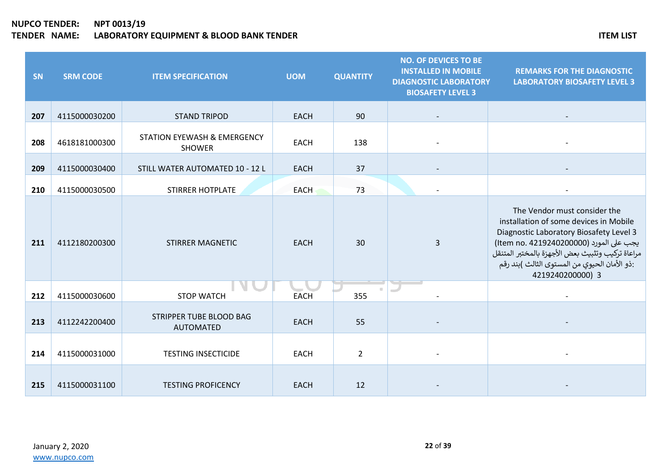| SN  | <b>SRM CODE</b> | <b>ITEM SPECIFICATION</b>                               | <b>UOM</b>  | <b>QUANTITY</b> | <b>NO. OF DEVICES TO BE</b><br><b>INSTALLED IN MOBILE</b><br><b>DIAGNOSTIC LABORATORY</b><br><b>BIOSAFETY LEVEL 3</b> | <b>REMARKS FOR THE DIAGNOSTIC</b><br><b>LABORATORY BIOSAFETY LEVEL 3</b>                                                                                                                                                                                                             |
|-----|-----------------|---------------------------------------------------------|-------------|-----------------|-----------------------------------------------------------------------------------------------------------------------|--------------------------------------------------------------------------------------------------------------------------------------------------------------------------------------------------------------------------------------------------------------------------------------|
| 207 | 4115000030200   | <b>STAND TRIPOD</b>                                     | <b>EACH</b> | 90              |                                                                                                                       |                                                                                                                                                                                                                                                                                      |
| 208 | 4618181000300   | <b>STATION EYEWASH &amp; EMERGENCY</b><br><b>SHOWER</b> | <b>EACH</b> | 138             |                                                                                                                       |                                                                                                                                                                                                                                                                                      |
| 209 | 4115000030400   | STILL WATER AUTOMATED 10 - 12 L                         | <b>EACH</b> | 37              |                                                                                                                       |                                                                                                                                                                                                                                                                                      |
| 210 | 4115000030500   | <b>STIRRER HOTPLATE</b>                                 | <b>EACH</b> | 73              |                                                                                                                       |                                                                                                                                                                                                                                                                                      |
| 211 | 4112180200300   | <b>STIRRER MAGNETIC</b>                                 | <b>EACH</b> | 30              | 3                                                                                                                     | The Vendor must consider the<br>installation of some devices in Mobile<br>Diagnostic Laboratory Biosafety Level 3<br>يجب على المورد (Item no. 4219240200000)<br>مراعاة تركيب وتثبيث بعض الأجهزة بالمختبر المتنقل<br>:ذو الأمان الحيوي من المستوى الثالث )بند رقم<br>4219240200000) 3 |
| 212 | 4115000030600   | <b>STOP WATCH</b>                                       | <b>EACH</b> | 355             |                                                                                                                       |                                                                                                                                                                                                                                                                                      |
| 213 | 4112242200400   | STRIPPER TUBE BLOOD BAG<br><b>AUTOMATED</b>             | <b>EACH</b> | 55              |                                                                                                                       |                                                                                                                                                                                                                                                                                      |
| 214 | 4115000031000   | <b>TESTING INSECTICIDE</b>                              | <b>EACH</b> | $\overline{2}$  |                                                                                                                       |                                                                                                                                                                                                                                                                                      |
| 215 | 4115000031100   | <b>TESTING PROFICENCY</b>                               | <b>EACH</b> | 12              |                                                                                                                       |                                                                                                                                                                                                                                                                                      |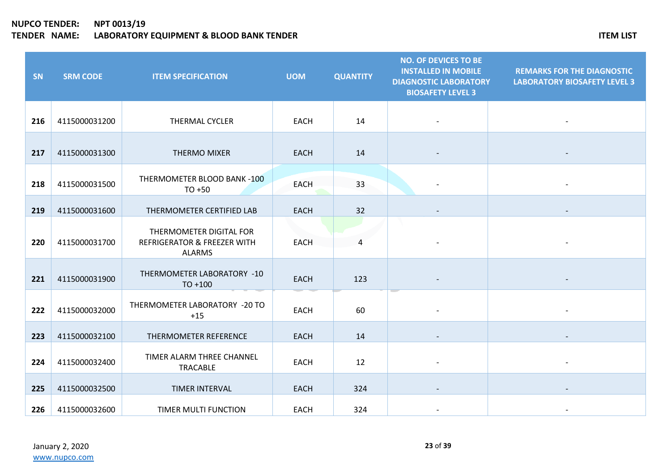| SN  | <b>SRM CODE</b> | <b>ITEM SPECIFICATION</b>                                               | <b>UOM</b>  | <b>QUANTITY</b> | <b>NO. OF DEVICES TO BE</b><br><b>INSTALLED IN MOBILE</b><br><b>DIAGNOSTIC LABORATORY</b><br><b>BIOSAFETY LEVEL 3</b> | <b>REMARKS FOR THE DIAGNOSTIC</b><br><b>LABORATORY BIOSAFETY LEVEL 3</b> |
|-----|-----------------|-------------------------------------------------------------------------|-------------|-----------------|-----------------------------------------------------------------------------------------------------------------------|--------------------------------------------------------------------------|
| 216 | 4115000031200   | <b>THERMAL CYCLER</b>                                                   | <b>EACH</b> | 14              |                                                                                                                       |                                                                          |
| 217 | 4115000031300   | <b>THERMO MIXER</b>                                                     | <b>EACH</b> | 14              |                                                                                                                       |                                                                          |
| 218 | 4115000031500   | THERMOMETER BLOOD BANK -100<br>$TO + 50$                                | <b>EACH</b> | 33              |                                                                                                                       |                                                                          |
| 219 | 4115000031600   | THERMOMETER CERTIFIED LAB                                               | <b>EACH</b> | 32              |                                                                                                                       |                                                                          |
| 220 | 4115000031700   | THERMOMETER DIGITAL FOR<br>REFRIGERATOR & FREEZER WITH<br><b>ALARMS</b> | <b>EACH</b> | 4               |                                                                                                                       |                                                                          |
| 221 | 4115000031900   | THERMOMETER LABORATORY -10<br>$TO + 100$                                | <b>EACH</b> | 123             |                                                                                                                       |                                                                          |
| 222 | 4115000032000   | THERMOMETER LABORATORY -20 TO<br>$+15$                                  | <b>EACH</b> | 60              |                                                                                                                       |                                                                          |
| 223 | 4115000032100   | THERMOMETER REFERENCE                                                   | <b>EACH</b> | 14              |                                                                                                                       |                                                                          |
| 224 | 4115000032400   | TIMER ALARM THREE CHANNEL<br>TRACABLE                                   | <b>EACH</b> | 12              |                                                                                                                       |                                                                          |
| 225 | 4115000032500   | TIMER INTERVAL                                                          | <b>EACH</b> | 324             |                                                                                                                       |                                                                          |
| 226 | 4115000032600   | TIMER MULTI FUNCTION                                                    | <b>EACH</b> | 324             |                                                                                                                       |                                                                          |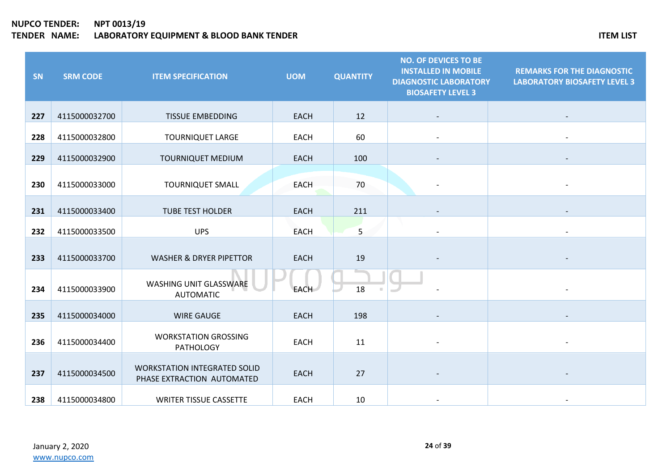| SN  | <b>SRM CODE</b> | <b>ITEM SPECIFICATION</b>                                         | <b>UOM</b>  | <b>QUANTITY</b> | <b>NO. OF DEVICES TO BE</b><br><b>INSTALLED IN MOBILE</b><br><b>DIAGNOSTIC LABORATORY</b><br><b>BIOSAFETY LEVEL 3</b> | <b>REMARKS FOR THE DIAGNOSTIC</b><br><b>LABORATORY BIOSAFETY LEVEL 3</b> |
|-----|-----------------|-------------------------------------------------------------------|-------------|-----------------|-----------------------------------------------------------------------------------------------------------------------|--------------------------------------------------------------------------|
| 227 | 4115000032700   | <b>TISSUE EMBEDDING</b>                                           | <b>EACH</b> | 12              |                                                                                                                       |                                                                          |
| 228 | 4115000032800   | <b>TOURNIQUET LARGE</b>                                           | <b>EACH</b> | 60              |                                                                                                                       |                                                                          |
| 229 | 4115000032900   | <b>TOURNIQUET MEDIUM</b>                                          | <b>EACH</b> | 100             |                                                                                                                       |                                                                          |
| 230 | 4115000033000   | <b>TOURNIQUET SMALL</b>                                           | <b>EACH</b> | 70              |                                                                                                                       |                                                                          |
| 231 | 4115000033400   | <b>TUBE TEST HOLDER</b>                                           | <b>EACH</b> | 211             |                                                                                                                       |                                                                          |
| 232 | 4115000033500   | <b>UPS</b>                                                        | <b>EACH</b> | 5               |                                                                                                                       |                                                                          |
| 233 | 4115000033700   | <b>WASHER &amp; DRYER PIPETTOR</b>                                | <b>EACH</b> | 19              |                                                                                                                       |                                                                          |
| 234 | 4115000033900   | WASHING UNIT GLASSWARE<br><b>AUTOMATIC</b>                        | <b>EACH</b> | 18              |                                                                                                                       |                                                                          |
| 235 | 4115000034000   | <b>WIRE GAUGE</b>                                                 | <b>EACH</b> | 198             |                                                                                                                       |                                                                          |
| 236 | 4115000034400   | <b>WORKSTATION GROSSING</b><br><b>PATHOLOGY</b>                   | <b>EACH</b> | 11              |                                                                                                                       |                                                                          |
| 237 | 4115000034500   | <b>WORKSTATION INTEGRATED SOLID</b><br>PHASE EXTRACTION AUTOMATED | <b>EACH</b> | 27              |                                                                                                                       |                                                                          |
| 238 | 4115000034800   | <b>WRITER TISSUE CASSETTE</b>                                     | <b>EACH</b> | 10              |                                                                                                                       |                                                                          |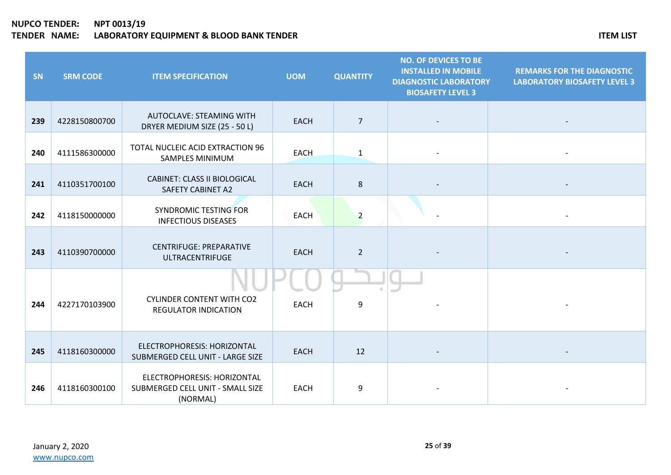| SN  | <b>SRM CODE</b> | <b>ITEM SPECIFICATION</b>                                                   | <b>UOM</b>  | <b>QUANTITY</b> | <b>NO. OF DEVICES TO BE</b><br><b>INSTALLED IN MOBILE</b><br><b>DIAGNOSTIC LABORATORY</b><br><b>BIOSAFETY LEVEL 3</b> | <b>REMARKS FOR THE DIAGNOSTIC</b><br><b>LABORATORY BIOSAFETY LEVEL 3</b> |
|-----|-----------------|-----------------------------------------------------------------------------|-------------|-----------------|-----------------------------------------------------------------------------------------------------------------------|--------------------------------------------------------------------------|
| 239 | 4228150800700   | AUTOCLAVE: STEAMING WITH<br>DRYER MEDIUM SIZE (25 - 50 L)                   | <b>EACH</b> | $\overline{7}$  |                                                                                                                       |                                                                          |
| 240 | 4111586300000   | TOTAL NUCLEIC ACID EXTRACTION 96<br>SAMPLES MINIMUM                         | <b>EACH</b> | $\mathbf{1}$    |                                                                                                                       |                                                                          |
| 241 | 4110351700100   | <b>CABINET: CLASS II BIOLOGICAL</b><br><b>SAFETY CABINET A2</b>             | <b>EACH</b> | $\bf 8$         |                                                                                                                       |                                                                          |
| 242 | 4118150000000   | <b>SYNDROMIC TESTING FOR</b><br><b>INFECTIOUS DISEASES</b>                  | <b>EACH</b> | $\overline{a}$  |                                                                                                                       |                                                                          |
| 243 | 4110390700000   | <b>CENTRIFUGE: PREPARATIVE</b><br><b>ULTRACENTRIFUGE</b>                    | <b>EACH</b> | $\overline{2}$  |                                                                                                                       |                                                                          |
| 244 | 4227170103900   | <b>CYLINDER CONTENT WITH CO2</b><br><b>REGULATOR INDICATION</b>             | <b>EACH</b> | 9               |                                                                                                                       |                                                                          |
| 245 | 4118160300000   | ELECTROPHORESIS: HORIZONTAL<br>SUBMERGED CELL UNIT - LARGE SIZE             | <b>EACH</b> | 12              |                                                                                                                       |                                                                          |
| 246 | 4118160300100   | ELECTROPHORESIS: HORIZONTAL<br>SUBMERGED CELL UNIT - SMALL SIZE<br>(NORMAL) | <b>EACH</b> | 9               |                                                                                                                       |                                                                          |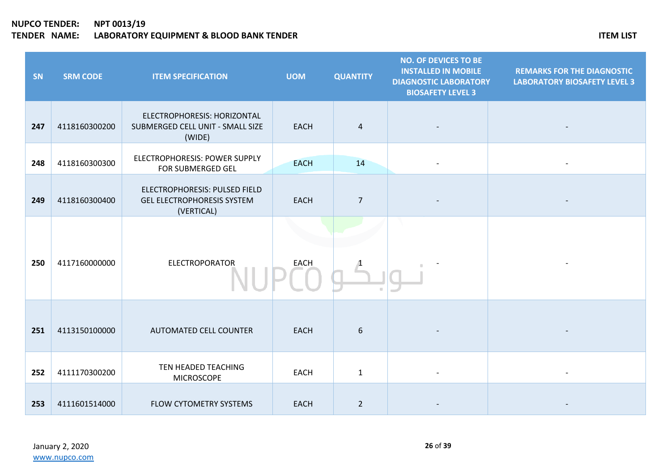| SN  | <b>SRM CODE</b> | <b>ITEM SPECIFICATION</b>                                                        | <b>UOM</b>  | <b>QUANTITY</b> | <b>NO. OF DEVICES TO BE</b><br><b>INSTALLED IN MOBILE</b><br><b>DIAGNOSTIC LABORATORY</b><br><b>BIOSAFETY LEVEL 3</b> | <b>REMARKS FOR THE DIAGNOSTIC</b><br><b>LABORATORY BIOSAFETY LEVEL 3</b> |
|-----|-----------------|----------------------------------------------------------------------------------|-------------|-----------------|-----------------------------------------------------------------------------------------------------------------------|--------------------------------------------------------------------------|
| 247 | 4118160300200   | ELECTROPHORESIS: HORIZONTAL<br>SUBMERGED CELL UNIT - SMALL SIZE<br>(WIDE)        | <b>EACH</b> | $\overline{4}$  |                                                                                                                       |                                                                          |
| 248 | 4118160300300   | ELECTROPHORESIS: POWER SUPPLY<br>FOR SUBMERGED GEL                               | <b>EACH</b> | 14              |                                                                                                                       |                                                                          |
| 249 | 4118160300400   | ELECTROPHORESIS: PULSED FIELD<br><b>GEL ELECTROPHORESIS SYSTEM</b><br>(VERTICAL) | <b>EACH</b> | $\overline{7}$  |                                                                                                                       |                                                                          |
| 250 | 4117160000000   | <b>ELECTROPORATOR</b>                                                            | <b>EACH</b> |                 |                                                                                                                       |                                                                          |
| 251 | 4113150100000   | <b>AUTOMATED CELL COUNTER</b>                                                    | <b>EACH</b> | 6               |                                                                                                                       |                                                                          |
| 252 | 4111170300200   | TEN HEADED TEACHING<br><b>MICROSCOPE</b>                                         | <b>EACH</b> | $\mathbf{1}$    |                                                                                                                       |                                                                          |
| 253 | 4111601514000   | FLOW CYTOMETRY SYSTEMS                                                           | <b>EACH</b> | $\overline{2}$  |                                                                                                                       |                                                                          |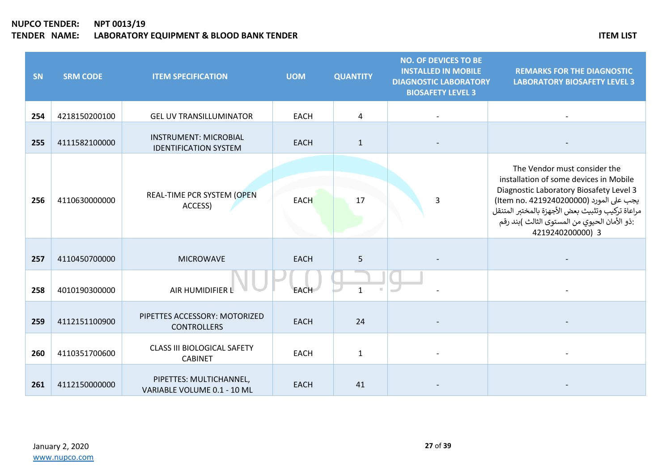| SN  | <b>SRM CODE</b> | <b>ITEM SPECIFICATION</b>                                    | <b>UOM</b>  | <b>QUANTITY</b> | <b>NO. OF DEVICES TO BE</b><br><b>INSTALLED IN MOBILE</b><br><b>DIAGNOSTIC LABORATORY</b><br><b>BIOSAFETY LEVEL 3</b> | <b>REMARKS FOR THE DIAGNOSTIC</b><br><b>LABORATORY BIOSAFETY LEVEL 3</b>                                                                                                                                                                                                             |
|-----|-----------------|--------------------------------------------------------------|-------------|-----------------|-----------------------------------------------------------------------------------------------------------------------|--------------------------------------------------------------------------------------------------------------------------------------------------------------------------------------------------------------------------------------------------------------------------------------|
| 254 | 4218150200100   | <b>GEL UV TRANSILLUMINATOR</b>                               | <b>EACH</b> | 4               |                                                                                                                       |                                                                                                                                                                                                                                                                                      |
| 255 | 4111582100000   | <b>INSTRUMENT: MICROBIAL</b><br><b>IDENTIFICATION SYSTEM</b> | <b>EACH</b> | $\mathbf{1}$    |                                                                                                                       |                                                                                                                                                                                                                                                                                      |
| 256 | 4110630000000   | REAL-TIME PCR SYSTEM (OPEN<br>ACCESS)                        | <b>EACH</b> | 17              | 3                                                                                                                     | The Vendor must consider the<br>installation of some devices in Mobile<br>Diagnostic Laboratory Biosafety Level 3<br>يجب على المورد (Item no. 4219240200000)<br>مراعاة تركيب وتثبيث بعض الأجهزة بالمختبر المتنقل<br>:ذو الأمان الحيوي من المستوى الثالث )بند رقم<br>4219240200000) 3 |
| 257 | 4110450700000   | <b>MICROWAVE</b>                                             | <b>EACH</b> | 5               |                                                                                                                       |                                                                                                                                                                                                                                                                                      |
| 258 | 4010190300000   | AIR HUMIDIFIER L                                             | <b>EACH</b> | $\mathbf{1}$    |                                                                                                                       |                                                                                                                                                                                                                                                                                      |
| 259 | 4112151100900   | PIPETTES ACCESSORY: MOTORIZED<br><b>CONTROLLERS</b>          | <b>EACH</b> | 24              |                                                                                                                       |                                                                                                                                                                                                                                                                                      |
| 260 | 4110351700600   | <b>CLASS III BIOLOGICAL SAFETY</b><br><b>CABINET</b>         | <b>EACH</b> | $\mathbf{1}$    |                                                                                                                       |                                                                                                                                                                                                                                                                                      |
| 261 | 4112150000000   | PIPETTES: MULTICHANNEL,<br>VARIABLE VOLUME 0.1 - 10 ML       | <b>EACH</b> | 41              |                                                                                                                       |                                                                                                                                                                                                                                                                                      |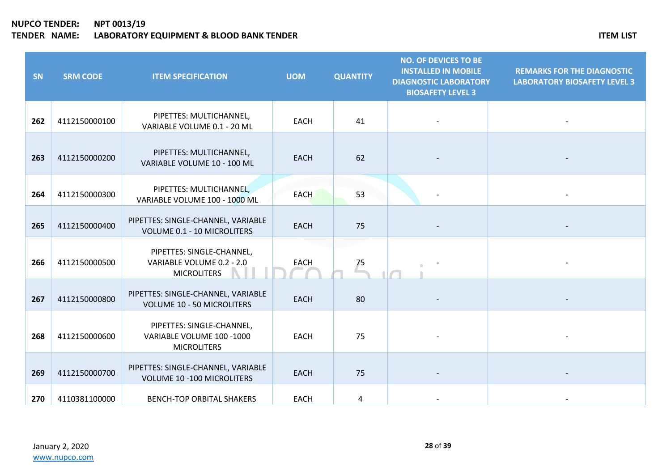| SN  | <b>SRM CODE</b> | <b>ITEM SPECIFICATION</b>                                                    | <b>UOM</b>  | <b>QUANTITY</b> | <b>NO. OF DEVICES TO BE</b><br><b>INSTALLED IN MOBILE</b><br><b>DIAGNOSTIC LABORATORY</b><br><b>BIOSAFETY LEVEL 3</b> | <b>REMARKS FOR THE DIAGNOSTIC</b><br><b>LABORATORY BIOSAFETY LEVEL 3</b> |
|-----|-----------------|------------------------------------------------------------------------------|-------------|-----------------|-----------------------------------------------------------------------------------------------------------------------|--------------------------------------------------------------------------|
| 262 | 4112150000100   | PIPETTES: MULTICHANNEL,<br>VARIABLE VOLUME 0.1 - 20 ML                       | <b>EACH</b> | 41              |                                                                                                                       |                                                                          |
| 263 | 4112150000200   | PIPETTES: MULTICHANNEL,<br>VARIABLE VOLUME 10 - 100 ML                       | <b>EACH</b> | 62              |                                                                                                                       |                                                                          |
| 264 | 4112150000300   | PIPETTES: MULTICHANNEL,<br>VARIABLE VOLUME 100 - 1000 ML                     | <b>EACH</b> | 53              |                                                                                                                       |                                                                          |
| 265 | 4112150000400   | PIPETTES: SINGLE-CHANNEL, VARIABLE<br>VOLUME 0.1 - 10 MICROLITERS            | <b>EACH</b> | 75              |                                                                                                                       |                                                                          |
| 266 | 4112150000500   | PIPETTES: SINGLE-CHANNEL,<br>VARIABLE VOLUME 0.2 - 2.0<br><b>MICROLITERS</b> | <b>EACH</b> | 75              |                                                                                                                       |                                                                          |
| 267 | 4112150000800   | PIPETTES: SINGLE-CHANNEL, VARIABLE<br><b>VOLUME 10 - 50 MICROLITERS</b>      | <b>EACH</b> | 80              |                                                                                                                       |                                                                          |
| 268 | 4112150000600   | PIPETTES: SINGLE-CHANNEL,<br>VARIABLE VOLUME 100 -1000<br><b>MICROLITERS</b> | <b>EACH</b> | 75              |                                                                                                                       |                                                                          |
| 269 | 4112150000700   | PIPETTES: SINGLE-CHANNEL, VARIABLE<br><b>VOLUME 10 -100 MICROLITERS</b>      | <b>EACH</b> | 75              |                                                                                                                       |                                                                          |
| 270 | 4110381100000   | <b>BENCH-TOP ORBITAL SHAKERS</b>                                             | <b>EACH</b> | 4               |                                                                                                                       |                                                                          |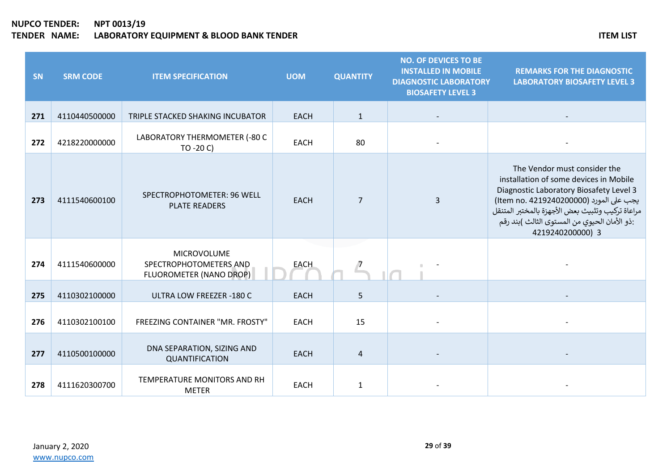| SN  | <b>SRM CODE</b> | <b>ITEM SPECIFICATION</b>                                               | <b>UOM</b>  | <b>QUANTITY</b> | <b>NO. OF DEVICES TO BE</b><br><b>INSTALLED IN MOBILE</b><br><b>DIAGNOSTIC LABORATORY</b><br><b>BIOSAFETY LEVEL 3</b> | <b>REMARKS FOR THE DIAGNOSTIC</b><br><b>LABORATORY BIOSAFETY LEVEL 3</b>                                                                                                                                                                                                             |
|-----|-----------------|-------------------------------------------------------------------------|-------------|-----------------|-----------------------------------------------------------------------------------------------------------------------|--------------------------------------------------------------------------------------------------------------------------------------------------------------------------------------------------------------------------------------------------------------------------------------|
| 271 | 4110440500000   | TRIPLE STACKED SHAKING INCUBATOR                                        | <b>EACH</b> | $\mathbf{1}$    |                                                                                                                       |                                                                                                                                                                                                                                                                                      |
| 272 | 4218220000000   | LABORATORY THERMOMETER (-80 C<br>TO -20 C)                              | <b>EACH</b> | 80              |                                                                                                                       |                                                                                                                                                                                                                                                                                      |
| 273 | 4111540600100   | SPECTROPHOTOMETER: 96 WELL<br><b>PLATE READERS</b>                      | <b>EACH</b> | $\overline{7}$  | 3                                                                                                                     | The Vendor must consider the<br>installation of some devices in Mobile<br>Diagnostic Laboratory Biosafety Level 3<br>يجب على المورد (Item no. 4219240200000)<br>مراعاة تركيب وتثبيث بعض الأجهزة بالمختبر المتنقل<br>:ذو الأمان الحيوي من المستوى الثالث )بند رقم<br>4219240200000) 3 |
| 274 | 4111540600000   | <b>MICROVOLUME</b><br>SPECTROPHOTOMETERS AND<br>FLUOROMETER (NANO DROP) | <b>EACH</b> |                 |                                                                                                                       |                                                                                                                                                                                                                                                                                      |
| 275 | 4110302100000   | <b>ULTRA LOW FREEZER -180 C</b>                                         | <b>EACH</b> | 5               |                                                                                                                       |                                                                                                                                                                                                                                                                                      |
| 276 | 4110302100100   | FREEZING CONTAINER "MR. FROSTY"                                         | <b>EACH</b> | 15              |                                                                                                                       |                                                                                                                                                                                                                                                                                      |
| 277 | 4110500100000   | DNA SEPARATION, SIZING AND<br>QUANTIFICATION                            | <b>EACH</b> | $\overline{4}$  |                                                                                                                       |                                                                                                                                                                                                                                                                                      |
| 278 | 4111620300700   | TEMPERATURE MONITORS AND RH<br><b>METER</b>                             | <b>EACH</b> | 1               |                                                                                                                       |                                                                                                                                                                                                                                                                                      |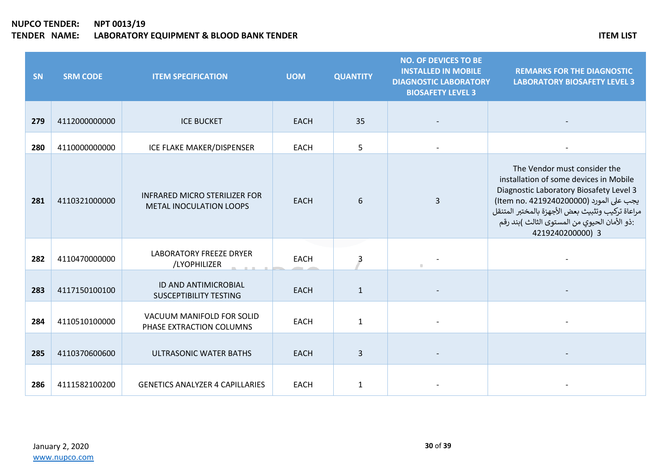### **NUPCO TENDER: NPT 0013/19 THE SERVICE STATES IN THE SERVICE STATES ITEM LIST** ITEM LIST

| SN  | <b>SRM CODE</b> | <b>ITEM SPECIFICATION</b>                                       | <b>UOM</b>  | <b>QUANTITY</b> | <b>NO. OF DEVICES TO BE</b><br><b>INSTALLED IN MOBILE</b><br><b>DIAGNOSTIC LABORATORY</b><br><b>BIOSAFETY LEVEL 3</b> | <b>REMARKS FOR THE DIAGNOSTIC</b><br><b>LABORATORY BIOSAFETY LEVEL 3</b>                                                                                                                                                                                                             |
|-----|-----------------|-----------------------------------------------------------------|-------------|-----------------|-----------------------------------------------------------------------------------------------------------------------|--------------------------------------------------------------------------------------------------------------------------------------------------------------------------------------------------------------------------------------------------------------------------------------|
| 279 | 4112000000000   | <b>ICE BUCKET</b>                                               | <b>EACH</b> | 35              |                                                                                                                       |                                                                                                                                                                                                                                                                                      |
| 280 | 4110000000000   | ICE FLAKE MAKER/DISPENSER                                       | <b>EACH</b> | 5               |                                                                                                                       |                                                                                                                                                                                                                                                                                      |
| 281 | 4110321000000   | <b>INFRARED MICRO STERILIZER FOR</b><br>METAL INOCULATION LOOPS | <b>EACH</b> | 6               | $\overline{3}$                                                                                                        | The Vendor must consider the<br>installation of some devices in Mobile<br>Diagnostic Laboratory Biosafety Level 3<br>يجب على المورد (Item no. 4219240200000)<br>مراعاة تركيب وتثبيث بعض الأجهزة بالمختبر المتنقل<br>:ذو الأمان الحيوي من المستوى الثالث )بند رقم<br>4219240200000) 3 |
| 282 | 4110470000000   | <b>LABORATORY FREEZE DRYER</b><br>/LYOPHILIZER                  | <b>EACH</b> | 3               |                                                                                                                       |                                                                                                                                                                                                                                                                                      |
| 283 | 4117150100100   | ID AND ANTIMICROBIAL<br><b>SUSCEPTIBILITY TESTING</b>           | <b>EACH</b> | $\mathbf{1}$    |                                                                                                                       |                                                                                                                                                                                                                                                                                      |
| 284 | 4110510100000   | VACUUM MANIFOLD FOR SOLID<br>PHASE EXTRACTION COLUMNS           | <b>EACH</b> | $\mathbf{1}$    |                                                                                                                       |                                                                                                                                                                                                                                                                                      |
| 285 | 4110370600600   | <b>ULTRASONIC WATER BATHS</b>                                   | <b>EACH</b> | $\overline{3}$  |                                                                                                                       |                                                                                                                                                                                                                                                                                      |
| 286 | 4111582100200   | <b>GENETICS ANALYZER 4 CAPILLARIES</b>                          | <b>EACH</b> | 1               |                                                                                                                       |                                                                                                                                                                                                                                                                                      |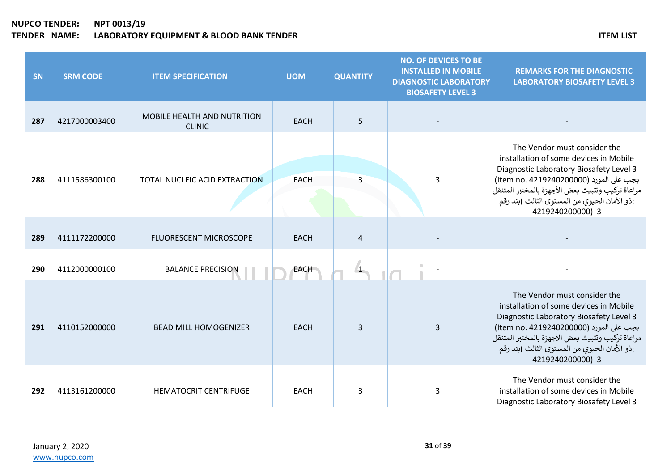# **NUPCO TENDER: NPT 0013/19 THE SERVICE STATES IN THE SERVICE STATES ITEM LIST** ITEM LIST

| SN  | <b>SRM CODE</b> | <b>ITEM SPECIFICATION</b>                           | <b>UOM</b>  | <b>QUANTITY</b> | <b>NO. OF DEVICES TO BE</b><br><b>INSTALLED IN MOBILE</b><br><b>DIAGNOSTIC LABORATORY</b><br><b>BIOSAFETY LEVEL 3</b> | <b>REMARKS FOR THE DIAGNOSTIC</b><br><b>LABORATORY BIOSAFETY LEVEL 3</b>                                                                                                                                                                                                             |
|-----|-----------------|-----------------------------------------------------|-------------|-----------------|-----------------------------------------------------------------------------------------------------------------------|--------------------------------------------------------------------------------------------------------------------------------------------------------------------------------------------------------------------------------------------------------------------------------------|
| 287 | 4217000003400   | <b>MOBILE HEALTH AND NUTRITION</b><br><b>CLINIC</b> | <b>EACH</b> | 5               |                                                                                                                       |                                                                                                                                                                                                                                                                                      |
| 288 | 4111586300100   | TOTAL NUCLEIC ACID EXTRACTION                       | <b>EACH</b> | 3               | 3                                                                                                                     | The Vendor must consider the<br>installation of some devices in Mobile<br>Diagnostic Laboratory Biosafety Level 3<br>يجب على المورد (Item no. 4219240200000)<br>مراعاة تركيب وتثبيث بعض الأجهزة بالمختبر المتنقل<br>:ذو الأمان الحيوي من المستوى الثالث )بند رقم<br>4219240200000) 3 |
| 289 | 4111172200000   | FLUORESCENT MICROSCOPE                              | <b>EACH</b> | $\overline{4}$  |                                                                                                                       |                                                                                                                                                                                                                                                                                      |
| 290 | 4112000000100   | <b>BALANCE PRECISION</b>                            | <b>EACH</b> |                 |                                                                                                                       |                                                                                                                                                                                                                                                                                      |
| 291 | 4110152000000   | <b>BEAD MILL HOMOGENIZER</b>                        | <b>EACH</b> | 3               | 3                                                                                                                     | The Vendor must consider the<br>installation of some devices in Mobile<br>Diagnostic Laboratory Biosafety Level 3<br>يجب على المورد (Item no. 4219240200000)<br>مراعاة تركيب وتثبيث بعض الأجهزة بالمختبر المتنقل<br>:ذو الأمان الحيوي من المستوى الثالث )بند رقم<br>4219240200000) 3 |
| 292 | 4113161200000   | <b>HEMATOCRIT CENTRIFUGE</b>                        | <b>EACH</b> | 3               | 3                                                                                                                     | The Vendor must consider the<br>installation of some devices in Mobile<br>Diagnostic Laboratory Biosafety Level 3                                                                                                                                                                    |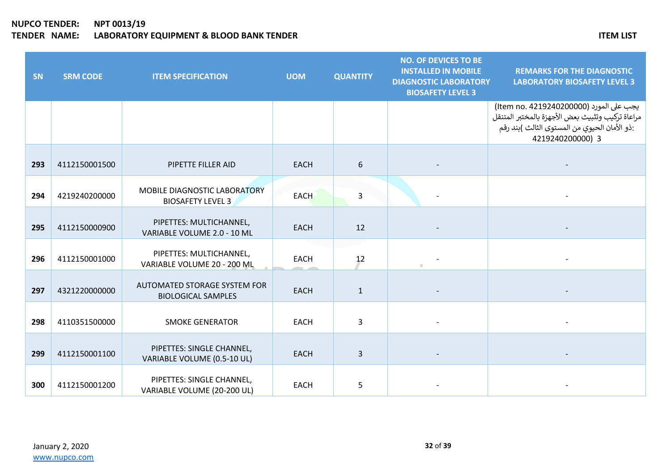| SN  | <b>SRM CODE</b> | <b>ITEM SPECIFICATION</b>                                 | <b>UOM</b>  | <b>QUANTITY</b> | <b>NO. OF DEVICES TO BE</b><br><b>INSTALLED IN MOBILE</b><br><b>DIAGNOSTIC LABORATORY</b><br><b>BIOSAFETY LEVEL 3</b> | <b>REMARKS FOR THE DIAGNOSTIC</b><br><b>LABORATORY BIOSAFETY LEVEL 3</b>                                                                                        |
|-----|-----------------|-----------------------------------------------------------|-------------|-----------------|-----------------------------------------------------------------------------------------------------------------------|-----------------------------------------------------------------------------------------------------------------------------------------------------------------|
|     |                 |                                                           |             |                 |                                                                                                                       | يجب على المورد (Item no. 4219240200000)<br>مراعاة تركيب وتثبيث بعض الأجهزة بالمختبر المتنقل<br>:ذو الأمان الحيوي من المستوى الثالث )بند رقم<br>4219240200000) 3 |
| 293 | 4112150001500   | PIPETTE FILLER AID                                        | <b>EACH</b> | 6               |                                                                                                                       |                                                                                                                                                                 |
| 294 | 4219240200000   | MOBILE DIAGNOSTIC LABORATORY<br><b>BIOSAFETY LEVEL 3</b>  | <b>EACH</b> | $\overline{3}$  |                                                                                                                       |                                                                                                                                                                 |
| 295 | 4112150000900   | PIPETTES: MULTICHANNEL,<br>VARIABLE VOLUME 2.0 - 10 ML    | <b>EACH</b> | 12              |                                                                                                                       |                                                                                                                                                                 |
| 296 | 4112150001000   | PIPETTES: MULTICHANNEL,<br>VARIABLE VOLUME 20 - 200 ML    | <b>EACH</b> | 12              | $\pm$                                                                                                                 |                                                                                                                                                                 |
| 297 | 4321220000000   | AUTOMATED STORAGE SYSTEM FOR<br><b>BIOLOGICAL SAMPLES</b> | <b>EACH</b> | $\mathbf{1}$    |                                                                                                                       |                                                                                                                                                                 |
| 298 | 4110351500000   | <b>SMOKE GENERATOR</b>                                    | <b>EACH</b> | 3               |                                                                                                                       |                                                                                                                                                                 |
| 299 | 4112150001100   | PIPETTES: SINGLE CHANNEL,<br>VARIABLE VOLUME (0.5-10 UL)  | <b>EACH</b> | 3               |                                                                                                                       |                                                                                                                                                                 |
| 300 | 4112150001200   | PIPETTES: SINGLE CHANNEL,<br>VARIABLE VOLUME (20-200 UL)  | <b>EACH</b> | 5               |                                                                                                                       |                                                                                                                                                                 |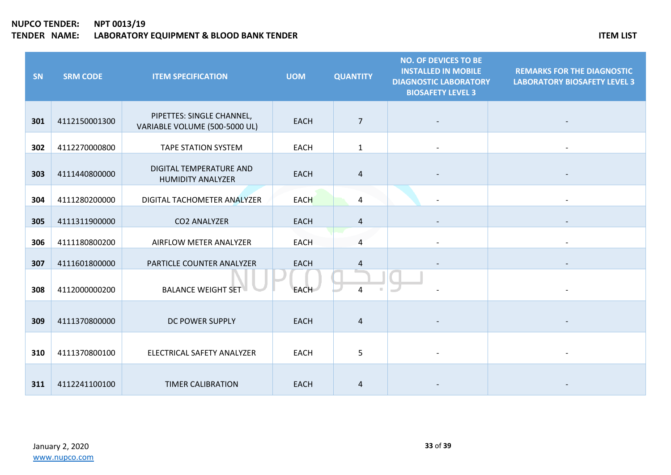| SN  | <b>SRM CODE</b> | <b>ITEM SPECIFICATION</b>                                  | <b>UOM</b>  | <b>QUANTITY</b> | <b>NO. OF DEVICES TO BE</b><br><b>INSTALLED IN MOBILE</b><br><b>DIAGNOSTIC LABORATORY</b><br><b>BIOSAFETY LEVEL 3</b> | <b>REMARKS FOR THE DIAGNOSTIC</b><br><b>LABORATORY BIOSAFETY LEVEL 3</b> |
|-----|-----------------|------------------------------------------------------------|-------------|-----------------|-----------------------------------------------------------------------------------------------------------------------|--------------------------------------------------------------------------|
| 301 | 4112150001300   | PIPETTES: SINGLE CHANNEL,<br>VARIABLE VOLUME (500-5000 UL) | <b>EACH</b> | $\overline{7}$  |                                                                                                                       |                                                                          |
| 302 | 4112270000800   | <b>TAPE STATION SYSTEM</b>                                 | <b>EACH</b> | $\mathbf{1}$    |                                                                                                                       | $\blacksquare$                                                           |
| 303 | 4111440800000   | DIGITAL TEMPERATURE AND<br><b>HUMIDITY ANALYZER</b>        | <b>EACH</b> | $\overline{4}$  |                                                                                                                       |                                                                          |
| 304 | 4111280200000   | DIGITAL TACHOMETER ANALYZER                                | <b>EACH</b> | 4               |                                                                                                                       |                                                                          |
| 305 | 4111311900000   | <b>CO2 ANALYZER</b>                                        | <b>EACH</b> | $\overline{4}$  |                                                                                                                       |                                                                          |
| 306 | 4111180800200   | AIRFLOW METER ANALYZER                                     | <b>EACH</b> | 4               |                                                                                                                       |                                                                          |
| 307 | 4111601800000   | PARTICLE COUNTER ANALYZER                                  | <b>EACH</b> | 4               |                                                                                                                       |                                                                          |
| 308 | 4112000000200   | <b>BALANCE WEIGHT SET</b>                                  | <b>EACH</b> | 4               |                                                                                                                       |                                                                          |
| 309 | 4111370800000   | DC POWER SUPPLY                                            | <b>EACH</b> | $\overline{a}$  |                                                                                                                       |                                                                          |
| 310 | 4111370800100   | ELECTRICAL SAFETY ANALYZER                                 | <b>EACH</b> | 5               |                                                                                                                       |                                                                          |
| 311 | 4112241100100   | <b>TIMER CALIBRATION</b>                                   | <b>EACH</b> | 4               |                                                                                                                       |                                                                          |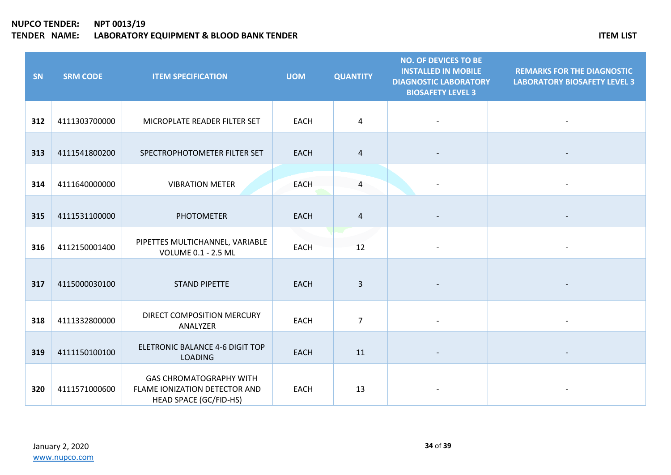| SN  | <b>SRM CODE</b> | <b>ITEM SPECIFICATION</b>                                                                 | <b>UOM</b>  | <b>QUANTITY</b> | <b>NO. OF DEVICES TO BE</b><br><b>INSTALLED IN MOBILE</b><br><b>DIAGNOSTIC LABORATORY</b><br><b>BIOSAFETY LEVEL 3</b> | <b>REMARKS FOR THE DIAGNOSTIC</b><br><b>LABORATORY BIOSAFETY LEVEL 3</b> |
|-----|-----------------|-------------------------------------------------------------------------------------------|-------------|-----------------|-----------------------------------------------------------------------------------------------------------------------|--------------------------------------------------------------------------|
| 312 | 4111303700000   | MICROPLATE READER FILTER SET                                                              | <b>EACH</b> | 4               |                                                                                                                       |                                                                          |
| 313 | 4111541800200   | SPECTROPHOTOMETER FILTER SET                                                              | <b>EACH</b> | 4               |                                                                                                                       |                                                                          |
| 314 | 4111640000000   | <b>VIBRATION METER</b>                                                                    | <b>EACH</b> | $\overline{4}$  |                                                                                                                       |                                                                          |
| 315 | 4111531100000   | <b>PHOTOMETER</b>                                                                         | <b>EACH</b> | 4               |                                                                                                                       |                                                                          |
| 316 | 4112150001400   | PIPETTES MULTICHANNEL, VARIABLE<br><b>VOLUME 0.1 - 2.5 ML</b>                             | <b>EACH</b> | 12              |                                                                                                                       |                                                                          |
| 317 | 4115000030100   | <b>STAND PIPETTE</b>                                                                      | <b>EACH</b> | $\overline{3}$  |                                                                                                                       |                                                                          |
| 318 | 4111332800000   | DIRECT COMPOSITION MERCURY<br>ANALYZER                                                    | EACH        | $\overline{7}$  |                                                                                                                       |                                                                          |
| 319 | 4111150100100   | ELETRONIC BALANCE 4-6 DIGIT TOP<br><b>LOADING</b>                                         | <b>EACH</b> | 11              |                                                                                                                       |                                                                          |
| 320 | 4111571000600   | <b>GAS CHROMATOGRAPHY WITH</b><br>FLAME IONIZATION DETECTOR AND<br>HEAD SPACE (GC/FID-HS) | <b>EACH</b> | 13              |                                                                                                                       |                                                                          |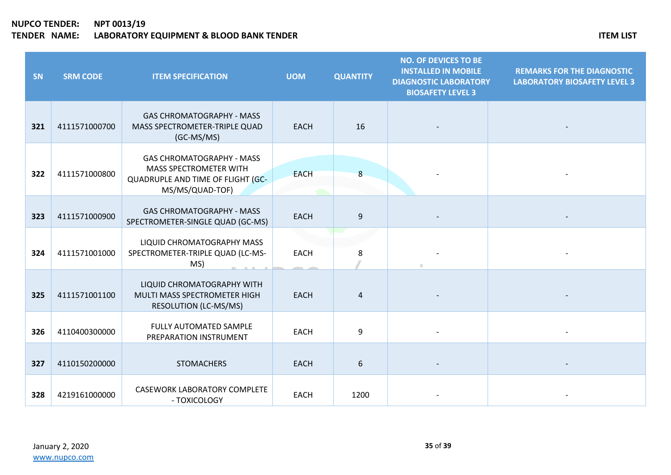| SN  | <b>SRM CODE</b> | <b>ITEM SPECIFICATION</b>                                                                                                 | <b>UOM</b>  | <b>QUANTITY</b> | <b>NO. OF DEVICES TO BE</b><br><b>INSTALLED IN MOBILE</b><br><b>DIAGNOSTIC LABORATORY</b><br><b>BIOSAFETY LEVEL 3</b> | <b>REMARKS FOR THE DIAGNOSTIC</b><br><b>LABORATORY BIOSAFETY LEVEL 3</b> |
|-----|-----------------|---------------------------------------------------------------------------------------------------------------------------|-------------|-----------------|-----------------------------------------------------------------------------------------------------------------------|--------------------------------------------------------------------------|
| 321 | 4111571000700   | <b>GAS CHROMATOGRAPHY - MASS</b><br>MASS SPECTROMETER-TRIPLE QUAD<br>(GC-MS/MS)                                           | <b>EACH</b> | 16              |                                                                                                                       |                                                                          |
| 322 | 4111571000800   | <b>GAS CHROMATOGRAPHY - MASS</b><br><b>MASS SPECTROMETER WITH</b><br>QUADRUPLE AND TIME OF FLIGHT (GC-<br>MS/MS/QUAD-TOF) | <b>EACH</b> | 8               |                                                                                                                       |                                                                          |
| 323 | 4111571000900   | <b>GAS CHROMATOGRAPHY - MASS</b><br>SPECTROMETER-SINGLE QUAD (GC-MS)                                                      | <b>EACH</b> | 9               |                                                                                                                       |                                                                          |
| 324 | 4111571001000   | LIQUID CHROMATOGRAPHY MASS<br>SPECTROMETER-TRIPLE QUAD (LC-MS-<br>MS)                                                     | <b>EACH</b> | 8               |                                                                                                                       |                                                                          |
| 325 | 4111571001100   | LIQUID CHROMATOGRAPHY WITH<br>MULTI MASS SPECTROMETER HIGH<br><b>RESOLUTION (LC-MS/MS)</b>                                | <b>EACH</b> | 4               |                                                                                                                       |                                                                          |
| 326 | 4110400300000   | FULLY AUTOMATED SAMPLE<br>PREPARATION INSTRUMENT                                                                          | <b>EACH</b> | 9               |                                                                                                                       |                                                                          |
| 327 | 4110150200000   | <b>STOMACHERS</b>                                                                                                         | <b>EACH</b> | 6               |                                                                                                                       |                                                                          |
| 328 | 4219161000000   | <b>CASEWORK LABORATORY COMPLETE</b><br>- TOXICOLOGY                                                                       | <b>EACH</b> | 1200            |                                                                                                                       |                                                                          |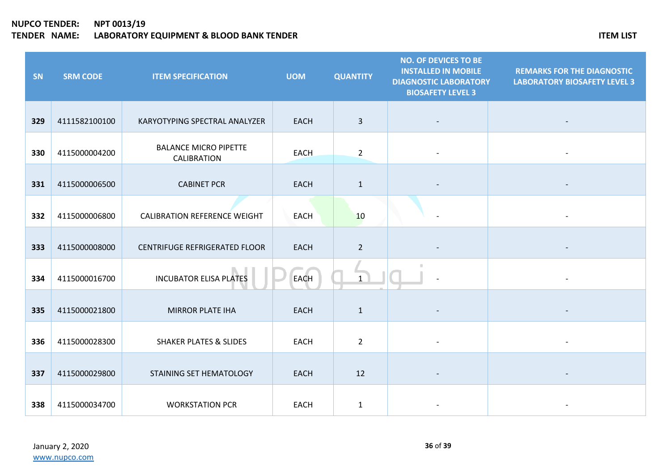| SN  | <b>SRM CODE</b> | <b>ITEM SPECIFICATION</b>                          | <b>UOM</b>  | <b>QUANTITY</b> | <b>NO. OF DEVICES TO BE</b><br><b>INSTALLED IN MOBILE</b><br><b>DIAGNOSTIC LABORATORY</b><br><b>BIOSAFETY LEVEL 3</b> | <b>REMARKS FOR THE DIAGNOSTIC</b><br><b>LABORATORY BIOSAFETY LEVEL 3</b> |
|-----|-----------------|----------------------------------------------------|-------------|-----------------|-----------------------------------------------------------------------------------------------------------------------|--------------------------------------------------------------------------|
| 329 | 4111582100100   | KARYOTYPING SPECTRAL ANALYZER                      | <b>EACH</b> | $\overline{3}$  |                                                                                                                       |                                                                          |
| 330 | 4115000004200   | <b>BALANCE MICRO PIPETTE</b><br><b>CALIBRATION</b> | <b>EACH</b> | $\overline{2}$  |                                                                                                                       |                                                                          |
| 331 | 4115000006500   | <b>CABINET PCR</b>                                 | <b>EACH</b> | $\mathbf{1}$    |                                                                                                                       |                                                                          |
| 332 | 4115000006800   | <b>CALIBRATION REFERENCE WEIGHT</b>                | <b>EACH</b> | 10              |                                                                                                                       |                                                                          |
| 333 | 4115000008000   | <b>CENTRIFUGE REFRIGERATED FLOOR</b>               | <b>EACH</b> | $\overline{2}$  |                                                                                                                       |                                                                          |
| 334 | 4115000016700   | <b>INCUBATOR ELISA PLATES</b>                      | <b>EACH</b> | $\mathbf{1}$    |                                                                                                                       |                                                                          |
| 335 | 4115000021800   | <b>MIRROR PLATE IHA</b>                            | <b>EACH</b> | $\mathbf{1}$    |                                                                                                                       |                                                                          |
| 336 | 4115000028300   | <b>SHAKER PLATES &amp; SLIDES</b>                  | <b>EACH</b> | $\overline{2}$  |                                                                                                                       |                                                                          |
| 337 | 4115000029800   | STAINING SET HEMATOLOGY                            | <b>EACH</b> | 12              |                                                                                                                       |                                                                          |
| 338 | 4115000034700   | <b>WORKSTATION PCR</b>                             | <b>EACH</b> | $\mathbf{1}$    |                                                                                                                       |                                                                          |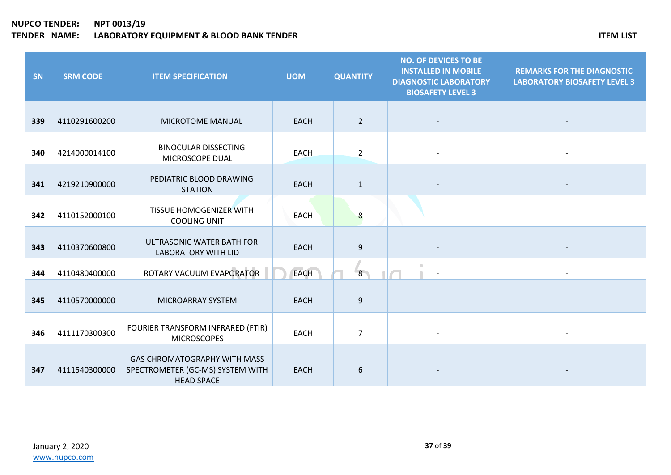| SN  | <b>SRM CODE</b> | <b>ITEM SPECIFICATION</b>                                                                    | <b>UOM</b>  | <b>QUANTITY</b>  | <b>NO. OF DEVICES TO BE</b><br><b>INSTALLED IN MOBILE</b><br><b>DIAGNOSTIC LABORATORY</b><br><b>BIOSAFETY LEVEL 3</b> | <b>REMARKS FOR THE DIAGNOSTIC</b><br><b>LABORATORY BIOSAFETY LEVEL 3</b> |
|-----|-----------------|----------------------------------------------------------------------------------------------|-------------|------------------|-----------------------------------------------------------------------------------------------------------------------|--------------------------------------------------------------------------|
| 339 | 4110291600200   | MICROTOME MANUAL                                                                             | <b>EACH</b> | $\overline{2}$   |                                                                                                                       |                                                                          |
| 340 | 4214000014100   | <b>BINOCULAR DISSECTING</b><br>MICROSCOPE DUAL                                               | <b>EACH</b> | $\overline{2}$   |                                                                                                                       |                                                                          |
| 341 | 4219210900000   | PEDIATRIC BLOOD DRAWING<br><b>STATION</b>                                                    | <b>EACH</b> | $\mathbf{1}$     |                                                                                                                       |                                                                          |
| 342 | 4110152000100   | TISSUE HOMOGENIZER WITH<br><b>COOLING UNIT</b>                                               | <b>EACH</b> | 8                |                                                                                                                       |                                                                          |
| 343 | 4110370600800   | ULTRASONIC WATER BATH FOR<br><b>LABORATORY WITH LID</b>                                      | <b>EACH</b> | $\boldsymbol{9}$ |                                                                                                                       |                                                                          |
| 344 | 4110480400000   | ROTARY VACUUM EVAPORATOR                                                                     | <b>EACH</b> | 8 <sup>1</sup>   | ٠                                                                                                                     |                                                                          |
| 345 | 4110570000000   | MICROARRAY SYSTEM                                                                            | <b>EACH</b> | 9                |                                                                                                                       |                                                                          |
| 346 | 4111170300300   | FOURIER TRANSFORM INFRARED (FTIR)<br><b>MICROSCOPES</b>                                      | <b>EACH</b> | $\overline{7}$   |                                                                                                                       |                                                                          |
| 347 | 4111540300000   | <b>GAS CHROMATOGRAPHY WITH MASS</b><br>SPECTROMETER (GC-MS) SYSTEM WITH<br><b>HEAD SPACE</b> | <b>EACH</b> | 6                |                                                                                                                       |                                                                          |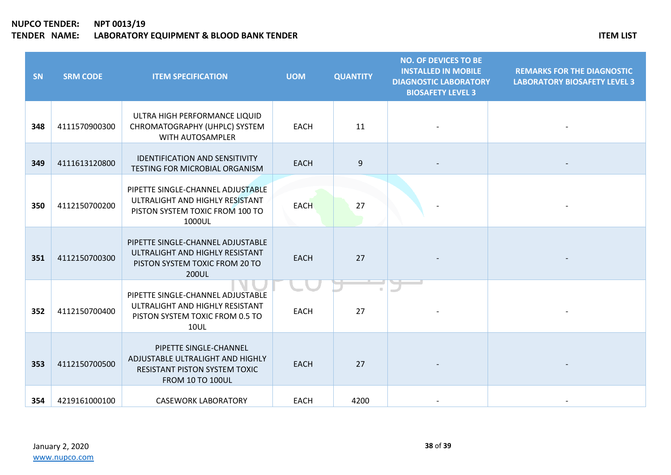| SN  | <b>SRM CODE</b> | <b>ITEM SPECIFICATION</b>                                                                                                     | <b>UOM</b>  | <b>QUANTITY</b> | <b>NO. OF DEVICES TO BE</b><br><b>INSTALLED IN MOBILE</b><br><b>DIAGNOSTIC LABORATORY</b><br><b>BIOSAFETY LEVEL 3</b> | <b>REMARKS FOR THE DIAGNOSTIC</b><br><b>LABORATORY BIOSAFETY LEVEL 3</b> |
|-----|-----------------|-------------------------------------------------------------------------------------------------------------------------------|-------------|-----------------|-----------------------------------------------------------------------------------------------------------------------|--------------------------------------------------------------------------|
| 348 | 4111570900300   | ULTRA HIGH PERFORMANCE LIQUID<br>CHROMATOGRAPHY (UHPLC) SYSTEM<br>WITH AUTOSAMPLER                                            | <b>EACH</b> | 11              |                                                                                                                       |                                                                          |
| 349 | 4111613120800   | <b>IDENTIFICATION AND SENSITIVITY</b><br>TESTING FOR MICROBIAL ORGANISM                                                       | <b>EACH</b> | 9               |                                                                                                                       |                                                                          |
| 350 | 4112150700200   | PIPETTE SINGLE-CHANNEL ADJUSTABLE<br>ULTRALIGHT AND HIGHLY RESISTANT<br>PISTON SYSTEM TOXIC FROM 100 TO<br>1000UL             | <b>EACH</b> | 27              |                                                                                                                       |                                                                          |
| 351 | 4112150700300   | PIPETTE SINGLE-CHANNEL ADJUSTABLE<br>ULTRALIGHT AND HIGHLY RESISTANT<br>PISTON SYSTEM TOXIC FROM 20 TO<br>200UL               | <b>EACH</b> | 27              |                                                                                                                       |                                                                          |
| 352 | 4112150700400   | PIPETTE SINGLE-CHANNEL ADJUSTABLE<br>ULTRALIGHT AND HIGHLY RESISTANT<br>PISTON SYSTEM TOXIC FROM 0.5 TO<br><b>10UL</b>        | <b>EACH</b> | 27              |                                                                                                                       |                                                                          |
| 353 | 4112150700500   | PIPETTE SINGLE-CHANNEL<br>ADJUSTABLE ULTRALIGHT AND HIGHLY<br><b>RESISTANT PISTON SYSTEM TOXIC</b><br><b>FROM 10 TO 100UL</b> | <b>EACH</b> | 27              |                                                                                                                       |                                                                          |
| 354 | 4219161000100   | <b>CASEWORK LABORATORY</b>                                                                                                    | <b>EACH</b> | 4200            |                                                                                                                       |                                                                          |